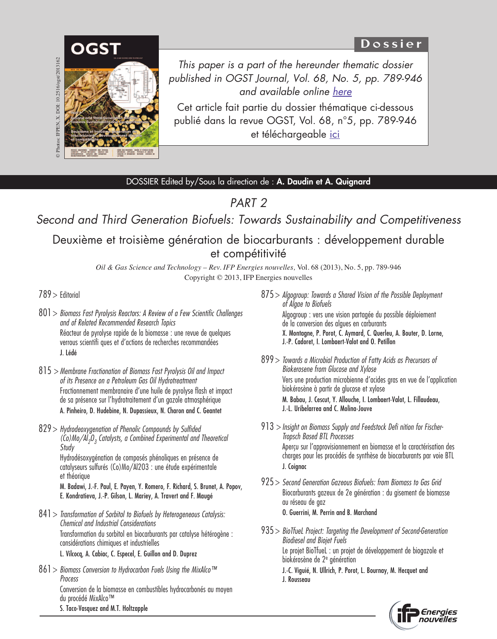



*This paper is a part of the hereunder thematic dossier published in OGST Journal, Vol. 68, No. 5, pp. 789-946 and available online [here](http://ogst.ifpenergiesnouvelles.fr/articles/ogst/abs/2013/05/contents/contents.html)*

Cet article fait partie du dossier thématique ci-dessous publié dans la revue OGST, Vol. 68, n°5, pp. 789-946 et téléchargeable [ici](http://ogst.ifpenergiesnouvelles.fr/articles/ogst/abs/2013/05/contents/contents.html)

DOSSIER Edited by/Sous la direction de : **A. Daudin et A. Quignard**

*PART 2*

*Second and Third Generation Biofuels: Towards Sustainability and Competitiveness*

## Deuxième et troisième génération de biocarburants : développement durable et compétitivité

*Oil & Gas Science and Technology – Rev. IFP Energies nouvelles,* Vol. 68 (2013), No. 5, pp. 789-946 Copyright © 2013, IFP Energies nouvelles

789 > Editorial

- 801 > Biomass Fast Pyrolysis Reactors: A Review of a Few Scientific Challenges and of Related Recommended Research Topics Réacteur de pyrolyse rapide de la biomasse : une revue de quelques verrous scientifi ques et d'actions de recherches recommandées J. Lédé
- 815 > Membrane Fractionation of Biomass Fast Pyrolysis Oil and Impact of its Presence on a Petroleum Gas Oil Hydrotreatment Fractionnement membranaire d'une huile de pyrolyse flash et impact de sa présence sur l'hydrotraitement d'un gazole atmosphérique A. Pinheiro, D. Hudebine, N. Dupassieux, N. Charon and C. Geantet
- 829 > Hydrodeoxygenation of Phenolic Compounds by Sulfided (Co)Mo/Al<sub>2</sub>O<sub>3</sub> Catalysts, a Combined Experimental and Theoretical Study Hydrodésoxygénation de composés phénoliques en présence de catalyseurs sulfurés (Co)Mo/Al2O3 : une étude expérimentale et théorique

## M. Badawi, J.-F. Paul, E. Payen, Y. Romero, F. Richard, S. Brunet, A. Popov, E. Kondratieva, J.-P. Gilson, L. Mariey, A. Travert and F. Maugé

 $841$  > Transformation of Sorbitol to Biofuels by Heterogeneous Catalysis: Chemical and Industrial Considerations Transformation du sorbitol en biocarburants par catalyse hétérogène : considérations chimiques et industrielles

## L. Vilcocq, A. Cabiac, C. Especel, E. Guillon and D. Duprez

- $861$  > Biomass Conversion to Hydrocarbon Fuels Using the MixAlco™ Process Conversion de la biomasse en combustibles hydrocarbonés au moyen du procédé MixAlco™
	- S. Taco-Vasquez and M.T. Holtzapple
- 875 > Algogroup: Towards a Shared Vision of the Possible Deployment of Algae to Biofuels Algogroup : vers une vision partagée du possible déploiement de la conversion des algues en carburants X. Montagne, P. Porot, C. Aymard, C. Querleu, A. Bouter, D. Lorne, J.-P. Cadoret, I. Lombaert-Valot and O. Petillon
- 899 > Towards a Microbial Production of Fatty Acids as Precursors of Biokerosene from Glucose and Xylose Vers une production microbienne d'acides gras en vue de l'application biokérosène à partir de glucose et xylose M. Babau, J. Cescut, Y. Allouche, I. Lombaert-Valot, L. Fillaudeau, J.-L. Uribelarrea and C. Molina-Jouve
- 913 > Insight on Biomass Supply and Feedstock Defi nition for Fischer-Tropsch Based BTL Processes Aperçu sur l'approvisionnement en biomasse et la caractérisation des charges pour les procédés de synthèse de biocarburants par voie BTL J. Coignac
- 925 > Second Generation Gazeous Biofuels: from Biomass to Gas Grid Biocarburants gazeux de 2e génération : du gisement de biomasse au réseau de gaz O. Guerrini, M. Perrin and B. Marchand
- 935 > BioTfuel Project: Targeting the Development of Second-Generation Biodiesel and Biojet Fuels Le projet BioTfueL : un projet de développement de biogazole et biokérosène de 2e génération J.-C. Viguié, N. Ullrich, P. Porot, L. Bournay, M. Hecquet and J. Rousseau

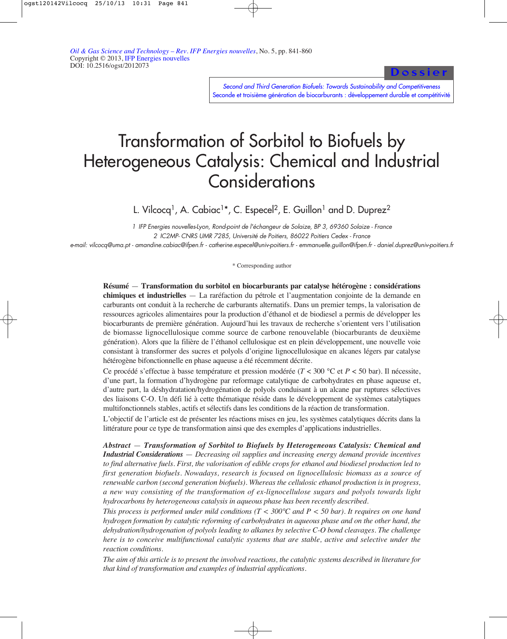[Dossier](http://ogst.ifpenergiesnouvelles.fr/articles/ogst/abs/2013/05/contents/contents.html)

[Second and Third Generation Biofuels: Towards Sustainability and Competitiveness](http://ogst.ifpenergiesnouvelles.fr/articles/ogst/abs/2013/05/contents/contents.html)  Seconde et troisième génération de biocarburants : développement durable et compétitivité

# Transformation of Sorbitol to Biofuels by Heterogeneous Catalysis: Chemical and Industrial **Considerations**

L. Vilcocq<sup>1</sup>, A. Cabiac<sup>1\*</sup>, C. Especel<sup>2</sup>, E. Guillon<sup>1</sup> and D. Duprez<sup>2</sup>

1 IFP Energies nouvelles-Lyon, Rond-point de l'échangeur de Solaize, BP 3, 69360 Solaize - France 2 IC2MP- CNRS UMR 7285, Université de Poitiers, 86022 Poitiers Cedex - France

e-mail: vilcocq@uma.pt - amandine.cabiac@ifpen.fr - catherine.especel@univ-poitiers.fr - emmanuelle.guillon@ifpen.fr - daniel.duprez@univ-poitiers.fr

\* Corresponding author

**Résumé** — **Transformation du sorbitol en biocarburants par catalyse hétérogène : considérations chimiques et industrielles** — La raréfaction du pétrole et l'augmentation conjointe de la demande en carburants ont conduit à la recherche de carburants alternatifs. Dans un premier temps, la valorisation de ressources agricoles alimentaires pour la production d'éthanol et de biodiesel a permis de développer les biocarburants de première génération. Aujourd'hui les travaux de recherche s'orientent vers l'utilisation de biomasse lignocellulosique comme source de carbone renouvelable (biocarburants de deuxième génération). Alors que la filière de l'éthanol cellulosique est en plein développement, une nouvelle voie consistant à transformer des sucres et polyols d'origine lignocellulosique en alcanes légers par catalyse hétérogène bifonctionnelle en phase aqueuse a été récemment décrite.

Ce procédé s'effectue à basse température et pression modérée (*T* < 300 °C et *P* < 50 bar). Il nécessite, d'une part, la formation d'hydrogène par reformage catalytique de carbohydrates en phase aqueuse et, d'autre part, la déshydratation/hydrogénation de polyols conduisant à un alcane par ruptures sélectives des liaisons C-O. Un défi lié à cette thématique réside dans le développement de systèmes catalytiques multifonctionnels stables, actifs et sélectifs dans les conditions de la réaction de transformation.

L'objectif de l'article est de présenter les réactions mises en jeu, les systèmes catalytiques décrits dans la littérature pour ce type de transformation ainsi que des exemples d'applications industrielles.

*Abstract* — *Transformation of Sorbitol to Biofuels by Heterogeneous Catalysis: Chemical and Industrial Considerations* — *Decreasing oil supplies and increasing energy demand provide incentives to find alternative fuels. First, the valorisation of edible crops for ethanol and biodiesel production led to first generation biofuels. Nowadays, research is focused on lignocellulosic biomass as a source of renewable carbon (second generation biofuels). Whereas the cellulosic ethanol production is in progress, a new way consisting of the transformation of ex-lignocellulose sugars and polyols towards light hydrocarbons by heterogeneous catalysis in aqueous phase has been recently described.*

*This process is performed under mild conditions (T < 300°C and P < 50 bar). It requires on one hand hydrogen formation by catalytic reforming of carbohydrates in aqueous phase and on the other hand, the dehydration/hydrogenation of polyols leading to alkanes by selective C-O bond cleavages. The challenge here is to conceive multifunctional catalytic systems that are stable, active and selective under the reaction conditions.*

*The aim of this article is to present the involved reactions, the catalytic systems described in literature for that kind of transformation and examples of industrial applications.*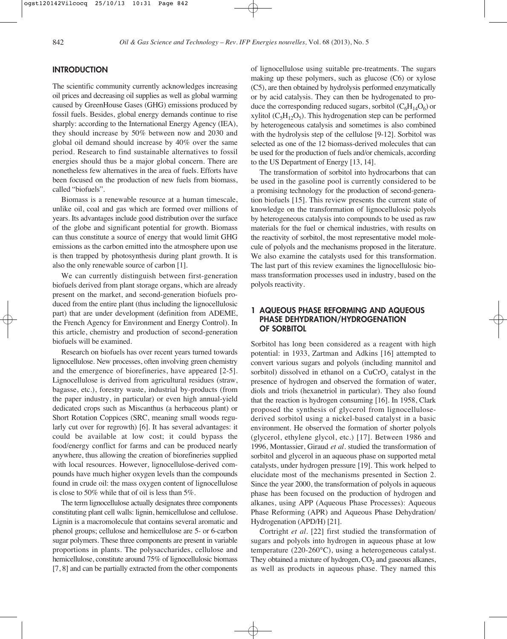## **INTRODUCTION**

The scientific community currently acknowledges increasing oil prices and decreasing oil supplies as well as global warming caused by GreenHouse Gases (GHG) emissions produced by fossil fuels. Besides, global energy demands continue to rise sharply: according to the International Energy Agency (IEA), they should increase by 50% between now and 2030 and global oil demand should increase by 40% over the same period. Research to find sustainable alternatives to fossil energies should thus be a major global concern. There are nonetheless few alternatives in the area of fuels. Efforts have been focused on the production of new fuels from biomass, called "biofuels".

Biomass is a renewable resource at a human timescale, unlike oil, coal and gas which are formed over millions of years. Its advantages include good distribution over the surface of the globe and significant potential for growth. Biomass can thus constitute a source of energy that would limit GHG emissions as the carbon emitted into the atmosphere upon use is then trapped by photosynthesis during plant growth. It is also the only renewable source of carbon [1].

We can currently distinguish between first-generation biofuels derived from plant storage organs, which are already present on the market, and second-generation biofuels produced from the entire plant (thus including the lignocellulosic part) that are under development (definition from ADEME, the French Agency for Environment and Energy Control). In this article, chemistry and production of second-generation biofuels will be examined.

Research on biofuels has over recent years turned towards lignocellulose. New processes, often involving green chemistry and the emergence of biorefineries, have appeared [2-5]. Lignocellulose is derived from agricultural residues (straw, bagasse, etc.), forestry waste, industrial by-products (from the paper industry, in particular) or even high annual-yield dedicated crops such as Miscanthus (a herbaceous plant) or Short Rotation Coppices (SRC, meaning small woods regularly cut over for regrowth) [6]. It has several advantages: it could be available at low cost; it could bypass the food/energy conflict for farms and can be produced nearly anywhere, thus allowing the creation of biorefineries supplied with local resources. However, lignocellulose-derived compounds have much higher oxygen levels than the compounds found in crude oil: the mass oxygen content of lignocellulose is close to 50% while that of oil is less than 5%.

The term lignocellulose actually designates three components constituting plant cell walls: lignin, hemicellulose and cellulose. Lignin is a macromolecule that contains several aromatic and phenol groups; cellulose and hemicellulose are 5- or 6-carbon sugar polymers. These three components are present in variable proportions in plants. The polysaccharides, cellulose and hemicellulose, constitute around 75% of lignocellulosic biomass [7, 8] and can be partially extracted from the other components of lignocellulose using suitable pre-treatments. The sugars making up these polymers, such as glucose (C6) or xylose (C5), are then obtained by hydrolysis performed enzymatically or by acid catalysis. They can then be hydrogenated to produce the corresponding reduced sugars, sorbitol  $(C_6H_{14}O_6)$  or xylitol  $(C_5H_1, O_5)$ . This hydrogenation step can be performed by heterogeneous catalysis and sometimes is also combined with the hydrolysis step of the cellulose [9-12]. Sorbitol was selected as one of the 12 biomass-derived molecules that can be used for the production of fuels and/or chemicals, according to the US Department of Energy [13, 14].

The transformation of sorbitol into hydrocarbons that can be used in the gasoline pool is currently considered to be a promising technology for the production of second-generation biofuels [15]. This review presents the current state of knowledge on the transformation of lignocellulosic polyols by heterogeneous catalysis into compounds to be used as raw materials for the fuel or chemical industries, with results on the reactivity of sorbitol, the most representative model molecule of polyols and the mechanisms proposed in the literature. We also examine the catalysts used for this transformation. The last part of this review examines the lignocellulosic biomass transformation processes used in industry, based on the polyols reactivity.

## 1 AQUEOUS PHASE REFORMING AND AQUEOUS PHASE DEHYDRATION/HYDROGENATION OF SORBITOL

Sorbitol has long been considered as a reagent with high potential: in 1933, Zartman and Adkins [16] attempted to convert various sugars and polyols (including mannitol and sorbitol) dissolved in ethanol on a CuCrO<sub>x</sub> catalyst in the presence of hydrogen and observed the formation of water, diols and triols (hexanetriol in particular). They also found that the reaction is hydrogen consuming [16]. In 1958, Clark proposed the synthesis of glycerol from lignocellulosederived sorbitol using a nickel-based catalyst in a basic environment. He observed the formation of shorter polyols (glycerol, ethylene glycol, etc.) [17]. Between 1986 and 1996, Montassier, Giraud *et al.* studied the transformation of sorbitol and glycerol in an aqueous phase on supported metal catalysts, under hydrogen pressure [19]. This work helped to elucidate most of the mechanisms presented in Section 2. Since the year 2000, the transformation of polyols in aqueous phase has been focused on the production of hydrogen and alkanes, using APP (Aqueous Phase Processes): Aqueous Phase Reforming (APR) and Aqueous Phase Dehydration/ Hydrogenation (APD/H) [21].

Cortright *et al.* [22] first studied the transformation of sugars and polyols into hydrogen in aqueous phase at low temperature (220-260°C), using a heterogeneous catalyst. They obtained a mixture of hydrogen,  $CO<sub>2</sub>$  and gaseous alkanes, as well as products in aqueous phase. They named this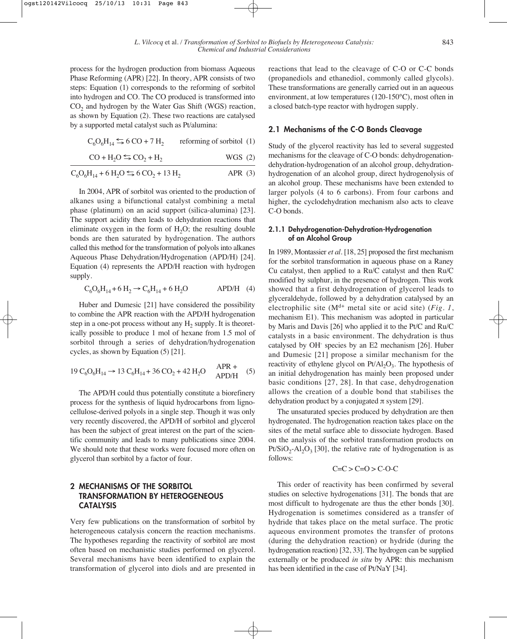process for the hydrogen production from biomass Aqueous Phase Reforming (APR) [22]. In theory, APR consists of two steps: Equation (1) corresponds to the reforming of sorbitol into hydrogen and CO. The CO produced is transformed into CO<sub>2</sub> and hydrogen by the Water Gas Shift (WGS) reaction, as shown by Equation (2). These two reactions are catalysed by a supported metal catalyst such as Pt/alumina:

 $C_6O_6H_{14} \leq 6 CO + 7 H_2$  reforming of sorbitol (1)

$$
CO + H_2O \leq CO_2 + H_2
$$
 WGS (2)

$$
C_6O_6H_{14} + 6H_2O \le 6CO_2 + 13H_2
$$
 APR (3)

In 2004, APR of sorbitol was oriented to the production of alkanes using a bifunctional catalyst combining a metal phase (platinum) on an acid support (silica-alumina) [23]. The support acidity then leads to dehydration reactions that eliminate oxygen in the form of  $H<sub>2</sub>O$ ; the resulting double bonds are then saturated by hydrogenation. The authors called this method for the transformation of polyols into alkanes Aqueous Phase Dehydration/Hydrogenation (APD/H) [24]. Equation (4) represents the APD/H reaction with hydrogen supply.

$$
C_6O_6H_{14} + 6H_2 \to C_6H_{14} + 6H_2O \qquad \text{APD/H} \quad (4)
$$

Huber and Dumesic [21] have considered the possibility to combine the APR reaction with the APD/H hydrogenation step in a one-pot process without any  $H_2$  supply. It is theoretically possible to produce 1 mol of hexane from 1.5 mol of sorbitol through a series of dehydration/hydrogenation cycles, as shown by Equation (5) [21].

$$
19 \text{ C}_6\text{O}_6\text{H}_{14} \rightarrow 13 \text{ C}_6\text{H}_{14} + 36 \text{ CO}_2 + 42 \text{ H}_2\text{O} \quad \begin{array}{c} \text{APR} + \\ \text{APD/H} \end{array} (5)
$$

The APD/H could thus potentially constitute a biorefinery process for the synthesis of liquid hydrocarbons from lignocellulose-derived polyols in a single step. Though it was only very recently discovered, the APD/H of sorbitol and glycerol has been the subject of great interest on the part of the scientific community and leads to many publications since 2004. We should note that these works were focused more often on glycerol than sorbitol by a factor of four.

## 2 MECHANISMS OF THE SORBITOL TRANSFORMATION BY HETEROGENEOUS **CATALYSIS**

Very few publications on the transformation of sorbitol by heterogeneous catalysis concern the reaction mechanisms. The hypotheses regarding the reactivity of sorbitol are most often based on mechanistic studies performed on glycerol. Several mechanisms have been identified to explain the transformation of glycerol into diols and are presented in

reactions that lead to the cleavage of C-O or C-C bonds (propanediols and ethanediol, commonly called glycols). These transformations are generally carried out in an aqueous environment, at low temperatures (120-150°C), most often in a closed batch-type reactor with hydrogen supply.

## 2.1 Mechanisms of the C-O Bonds Cleavage

Study of the glycerol reactivity has led to several suggested mechanisms for the cleavage of C-O bonds: dehydrogenationdehydration-hydrogenation of an alcohol group, dehydrationhydrogenation of an alcohol group, direct hydrogenolysis of an alcohol group. These mechanisms have been extended to larger polyols (4 to 6 carbons). From four carbons and higher, the cyclodehydration mechanism also acts to cleave C-O bonds.

#### 2.1.1 Dehydrogenation-Dehydration-Hydrogenation of an Alcohol Group

In 1989, Montassier *et al.* [18, 25] proposed the first mechanism for the sorbitol transformation in aqueous phase on a Raney Cu catalyst, then applied to a Ru/C catalyst and then Ru/C modified by sulphur, in the presence of hydrogen. This work showed that a first dehydrogenation of glycerol leads to glyceraldehyde, followed by a dehydration catalysed by an electrophilic site  $(M<sup>d+</sup>$  metal site or acid site) (*Fig. 1*, mechanism E1). This mechanism was adopted in particular by Maris and Davis [26] who applied it to the Pt/C and Ru/C catalysts in a basic environment. The dehydration is thus catalysed by OH- species by an E2 mechanism [26]. Huber and Dumesic [21] propose a similar mechanism for the reactivity of ethylene glycol on  $Pt/Al_2O_3$ . The hypothesis of an initial dehydrogenation has mainly been proposed under basic conditions [27, 28]. In that case, dehydrogenation allows the creation of a double bond that stabilises the dehydration product by a conjugated  $\pi$  system [29].

The unsaturated species produced by dehydration are then hydrogenated. The hydrogenation reaction takes place on the sites of the metal surface able to dissociate hydrogen. Based on the analysis of the sorbitol transformation products on  $Pt/SiO<sub>2</sub>-Al<sub>2</sub>O<sub>3</sub>$  [30], the relative rate of hydrogenation is as follows:

#### $C=C>CD>C-O-C$

This order of reactivity has been confirmed by several studies on selective hydrogenations [31]. The bonds that are most difficult to hydrogenate are thus the ether bonds [30]. Hydrogenation is sometimes considered as a transfer of hydride that takes place on the metal surface. The protic aqueous environment promotes the transfer of protons (during the dehydration reaction) or hydride (during the hydrogenation reaction) [32, 33]. The hydrogen can be supplied externally or be produced *in situ* by APR: this mechanism has been identified in the case of Pt/NaY [34].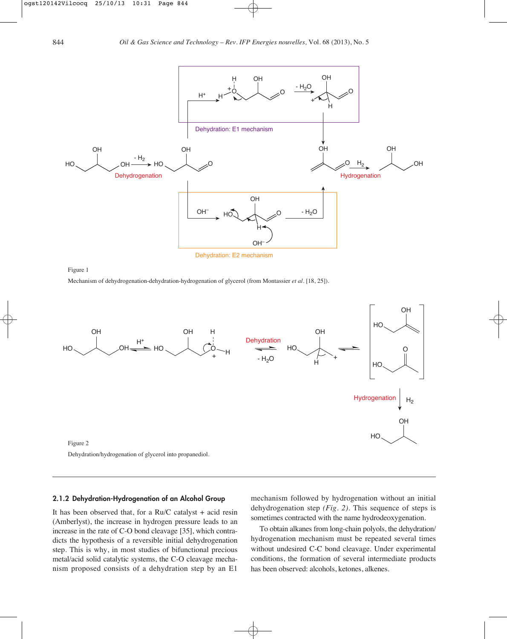

Figure 1 Mechanism of dehydrogenation-dehydration-hydrogenation of glycerol (from Montassier *et al.* [18, 25]).



## 2.1.2 Dehydration-Hydrogenation of an Alcohol Group

It has been observed that, for a Ru/C catalyst + acid resin (Amberlyst), the increase in hydrogen pressure leads to an increase in the rate of C-O bond cleavage [35], which contradicts the hypothesis of a reversible initial dehydrogenation step. This is why, in most studies of bifunctional precious metal/acid solid catalytic systems, the C-O cleavage mechanism proposed consists of a dehydration step by an E1

mechanism followed by hydrogenation without an initial dehydrogenation step *(Fig. 2)*. This sequence of steps is sometimes contracted with the name hydrodeoxygenation.

To obtain alkanes from long-chain polyols, the dehydration/ hydrogenation mechanism must be repeated several times without undesired C-C bond cleavage. Under experimental conditions, the formation of several intermediate products has been observed: alcohols, ketones, alkenes.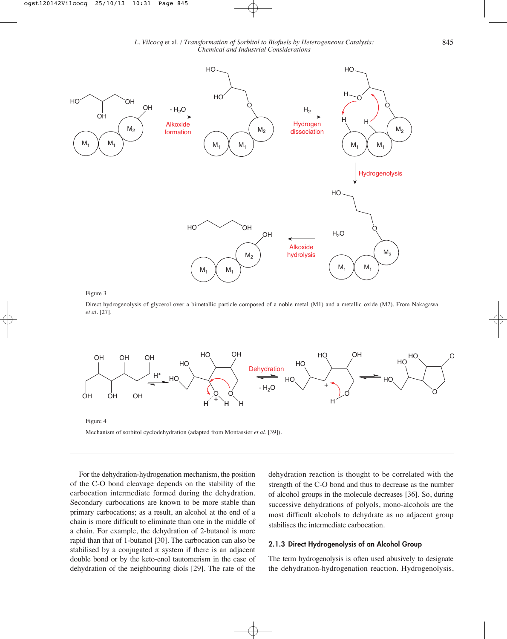*L. Vilcocq* et al. */ Transformation of Sorbitol to Biofuels by Heterogeneous Catalysis: Chemical and Industrial Considerations*



Figure 3

Direct hydrogenolysis of glycerol over a bimetallic particle composed of a noble metal (M1) and a metallic oxide (M2). From Nakagawa *et al.* [27].



Mechanism of sorbitol cyclodehydration (adapted from Montassier *et al.* [39]).

For the dehydration-hydrogenation mechanism, the position of the C-O bond cleavage depends on the stability of the carbocation intermediate formed during the dehydration. Secondary carbocations are known to be more stable than primary carbocations; as a result, an alcohol at the end of a chain is more difficult to eliminate than one in the middle of a chain. For example, the dehydration of 2-butanol is more rapid than that of 1-butanol [30]. The carbocation can also be stabilised by a conjugated  $\pi$  system if there is an adjacent double bond or by the keto-enol tautomerism in the case of dehydration of the neighbouring diols [29]. The rate of the

dehydration reaction is thought to be correlated with the strength of the C-O bond and thus to decrease as the number of alcohol groups in the molecule decreases [36]. So, during successive dehydrations of polyols, mono-alcohols are the most difficult alcohols to dehydrate as no adjacent group stabilises the intermediate carbocation.

## 2.1.3 Direct Hydrogenolysis of an Alcohol Group

The term hydrogenolysis is often used abusively to designate the dehydration-hydrogenation reaction. Hydrogenolysis,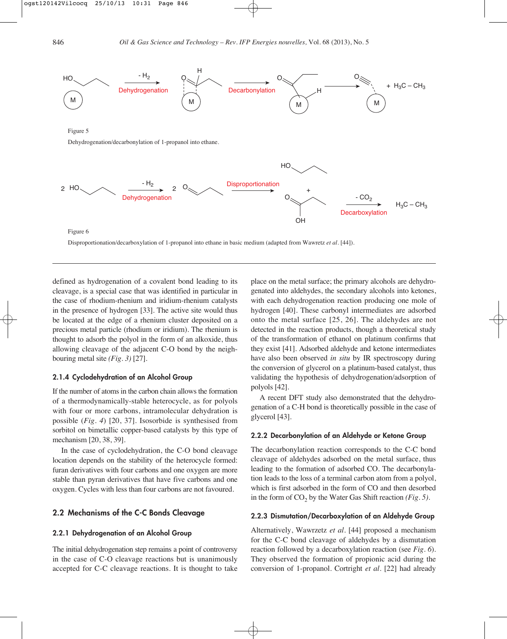

Disproportionation/decarboxylation of 1-propanol into ethane in basic medium (adapted from Wawretz *et al.* [44]).

defined as hydrogenation of a covalent bond leading to its cleavage, is a special case that was identified in particular in the case of rhodium-rhenium and iridium-rhenium catalysts in the presence of hydrogen [33]. The active site would thus be located at the edge of a rhenium cluster deposited on a precious metal particle (rhodium or iridium). The rhenium is thought to adsorb the polyol in the form of an alkoxide, thus allowing cleavage of the adjacent C-O bond by the neighbouring metal site *(Fig. 3)* [27].

#### 2.1.4 Cyclodehydration of an Alcohol Group

If the number of atoms in the carbon chain allows the formation of a thermodynamically-stable heterocycle, as for polyols with four or more carbons, intramolecular dehydration is possible (*Fig. 4*) [20, 37]. Isosorbide is synthesised from sorbitol on bimetallic copper-based catalysts by this type of mechanism [20, 38, 39].

In the case of cyclodehydration, the C-O bond cleavage location depends on the stability of the heterocycle formed: furan derivatives with four carbons and one oxygen are more stable than pyran derivatives that have five carbons and one oxygen. Cycles with less than four carbons are not favoured.

## 2.2 Mechanisms of the C-C Bonds Cleavage

#### 2.2.1 Dehydrogenation of an Alcohol Group

The initial dehydrogenation step remains a point of controversy in the case of C-O cleavage reactions but is unanimously accepted for C-C cleavage reactions. It is thought to take place on the metal surface; the primary alcohols are dehydrogenated into aldehydes, the secondary alcohols into ketones, with each dehydrogenation reaction producing one mole of hydrogen [40]. These carbonyl intermediates are adsorbed onto the metal surface [25, 26]. The aldehydes are not detected in the reaction products, though a theoretical study of the transformation of ethanol on platinum confirms that they exist [41]. Adsorbed aldehyde and ketone intermediates have also been observed *in situ* by IR spectroscopy during the conversion of glycerol on a platinum-based catalyst, thus validating the hypothesis of dehydrogenation/adsorption of polyols [42].

A recent DFT study also demonstrated that the dehydrogenation of a C-H bond is theoretically possible in the case of glycerol [43].

#### 2.2.2 Decarbonylation of an Aldehyde or Ketone Group

The decarbonylation reaction corresponds to the C-C bond cleavage of aldehydes adsorbed on the metal surface, thus leading to the formation of adsorbed CO. The decarbonylation leads to the loss of a terminal carbon atom from a polyol, which is first adsorbed in the form of CO and then desorbed in the form of CO<sub>2</sub> by the Water Gas Shift reaction *(Fig. 5)*.

#### 2.2.3 Dismutation/Decarboxylation of an Aldehyde Group

Alternatively, Wawrzetz *et al.* [44] proposed a mechanism for the C-C bond cleavage of aldehydes by a dismutation reaction followed by a decarboxylation reaction (see *Fig. 6*). They observed the formation of propionic acid during the conversion of 1-propanol. Cortright *et al.* [22] had already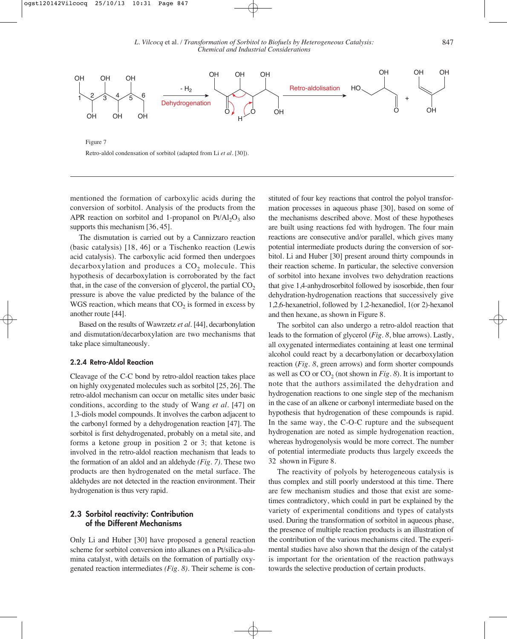

Retro-aldol condensation of sorbitol (adapted from Li *et al.* [30]).

mentioned the formation of carboxylic acids during the conversion of sorbitol. Analysis of the products from the APR reaction on sorbitol and 1-propanol on  $Pt/Al_2O_3$  also supports this mechanism [36, 45].

The dismutation is carried out by a Cannizzaro reaction (basic catalysis) [18, 46] or a Tischenko reaction (Lewis acid catalysis). The carboxylic acid formed then undergoes decarboxylation and produces a  $CO<sub>2</sub>$  molecule. This hypothesis of decarboxylation is corroborated by the fact that, in the case of the conversion of glycerol, the partial  $CO<sub>2</sub>$ pressure is above the value predicted by the balance of the WGS reaction, which means that  $CO<sub>2</sub>$  is formed in excess by another route [44].

Based on the results of Wawrzetz *et al.* [44], decarbonylation and dismutation/decarboxylation are two mechanisms that take place simultaneously.

## 2.2.4 Retro-Aldol Reaction

Cleavage of the C-C bond by retro-aldol reaction takes place on highly oxygenated molecules such as sorbitol [25, 26]. The retro-aldol mechanism can occur on metallic sites under basic conditions, according to the study of Wang *et al.* [47] on 1,3-diols model compounds. It involves the carbon adjacent to the carbonyl formed by a dehydrogenation reaction [47]. The sorbitol is first dehydrogenated, probably on a metal site, and forms a ketone group in position 2 or 3; that ketone is involved in the retro-aldol reaction mechanism that leads to the formation of an aldol and an aldehyde *(Fig. 7)*. These two products are then hydrogenated on the metal surface. The aldehydes are not detected in the reaction environment. Their hydrogenation is thus very rapid.

## 2.3 Sorbitol reactivity: Contribution of the Different Mechanisms

Only Li and Huber [30] have proposed a general reaction scheme for sorbitol conversion into alkanes on a Pt/silica-alumina catalyst, with details on the formation of partially oxygenated reaction intermediates *(Fig. 8)*. Their scheme is con-

stituted of four key reactions that control the polyol transformation processes in aqueous phase [30], based on some of the mechanisms described above. Most of these hypotheses are built using reactions fed with hydrogen. The four main reactions are consecutive and/or parallel, which gives many potential intermediate products during the conversion of sorbitol. Li and Huber [30] present around thirty compounds in their reaction scheme. In particular, the selective conversion of sorbitol into hexane involves two dehydration reactions that give 1,4-anhydrosorbitol followed by isosorbide, then four dehydration-hydrogenation reactions that successively give 1,2,6-hexanetriol, followed by 1,2-hexanediol, 1(or 2)-hexanol and then hexane, as shown in Figure 8.

The sorbitol can also undergo a retro-aldol reaction that leads to the formation of glycerol (*Fig. 8*, blue arrows). Lastly, all oxygenated intermediates containing at least one terminal alcohol could react by a decarbonylation or decarboxylation reaction (*Fig. 8*, green arrows) and form shorter compounds as well as CO or  $CO<sub>2</sub>$  (not shown in *Fig. 8*). It is important to note that the authors assimilated the dehydration and hydrogenation reactions to one single step of the mechanism in the case of an alkene or carbonyl intermediate based on the hypothesis that hydrogenation of these compounds is rapid. In the same way, the C-O-C rupture and the subsequent hydrogenation are noted as simple hydrogenation reaction, whereas hydrogenolysis would be more correct. The number of potential intermediate products thus largely exceeds the 32 shown in Figure 8.

The reactivity of polyols by heterogeneous catalysis is thus complex and still poorly understood at this time. There are few mechanism studies and those that exist are sometimes contradictory, which could in part be explained by the variety of experimental conditions and types of catalysts used. During the transformation of sorbitol in aqueous phase, the presence of multiple reaction products is an illustration of the contribution of the various mechanisms cited. The experimental studies have also shown that the design of the catalyst is important for the orientation of the reaction pathways towards the selective production of certain products.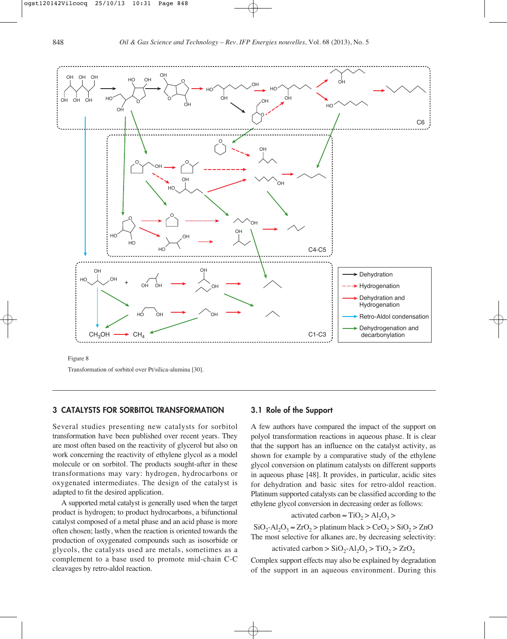



## 3 CATALYSTS FOR SORBITOL TRANSFORMATION

Several studies presenting new catalysts for sorbitol transformation have been published over recent years. They are most often based on the reactivity of glycerol but also on work concerning the reactivity of ethylene glycol as a model molecule or on sorbitol. The products sought-after in these transformations may vary: hydrogen, hydrocarbons or oxygenated intermediates. The design of the catalyst is adapted to fit the desired application*.*

A supported metal catalyst is generally used when the target product is hydrogen; to product hydrocarbons, a bifunctional catalyst composed of a metal phase and an acid phase is more often chosen; lastly, when the reaction is oriented towards the production of oxygenated compounds such as isosorbide or glycols, the catalysts used are metals, sometimes as a complement to a base used to promote mid-chain C-C cleavages by retro-aldol reaction.

## 3.1 Role of the Support

A few authors have compared the impact of the support on polyol transformation reactions in aqueous phase. It is clear that the support has an influence on the catalyst activity, as shown for example by a comparative study of the ethylene glycol conversion on platinum catalysts on different supports in aqueous phase [48]. It provides, in particular, acidic sites for dehydration and basic sites for retro-aldol reaction. Platinum supported catalysts can be classified according to the ethylene glycol conversion in decreasing order as follows:

activated carbon 
$$
\approx
$$
 TiO<sub>2</sub> > Al<sub>2</sub>O<sub>3</sub> >

 $SiO_2-Al_2O_3 \approx ZrO_2 >$  platinum black  $> CeO_2 > SiO_2 > ZnO$ The most selective for alkanes are, by decreasing selectivity:

activated carbon >  $SiO_2$ -Al<sub>2</sub>O<sub>3</sub> > TiO<sub>2</sub> > ZrO<sub>2</sub>

Complex support effects may also be explained by degradation of the support in an aqueous environment. During this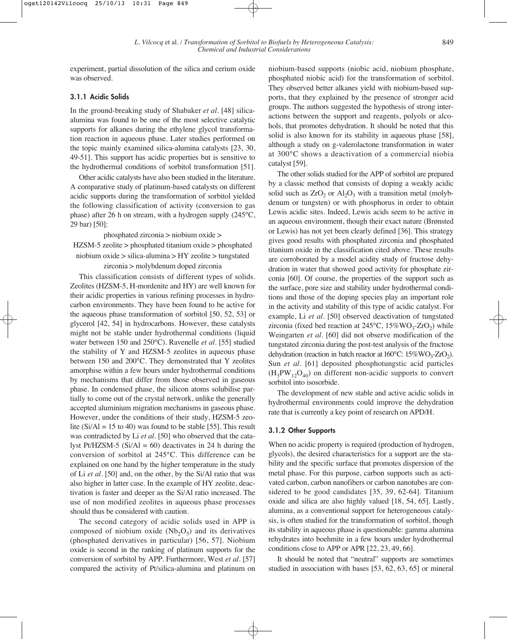experiment, partial dissolution of the silica and cerium oxide was observed.

## 3.1.1 Acidic Solids

In the ground-breaking study of Shabaker *et al.* [48] silicaalumina was found to be one of the most selective catalytic supports for alkanes during the ethylene glycol transformation reaction in aqueous phase. Later studies performed on the topic mainly examined silica-alumina catalysts [23, 30, 49-51]*.* This support has acidic properties but is sensitive to the hydrothermal conditions of sorbitol transformation [51].

Other acidic catalysts have also been studied in the literature. A comparative study of platinum-based catalysts on different acidic supports during the transformation of sorbitol yielded the following classification of activity (conversion to gas phase) after 26 h on stream, with a hydrogen supply (245°C, 29 bar) [50]:

phosphated zirconia > niobium oxide > HZSM-5 zeolite > phosphated titanium oxide > phosphated niobium oxide > silica-alumina > HY zeolite > tungstated zirconia > molybdenum doped zirconia

This classification consists of different types of solids. Zeolites (HZSM-5, H-mordenite and HY) are well known for their acidic properties in various refining processes in hydrocarbon environments. They have been found to be active for the aqueous phase transformation of sorbitol [50, 52, 53] or glycerol [42, 54] in hydrocarbons. However, these catalysts might not be stable under hydrothermal conditions (liquid water between 150 and 250°C). Ravenelle *et al.* [55] studied the stability of Y and HZSM-5 zeolites in aqueous phase between 150 and 200°C. They demonstrated that Y zeolites amorphise within a few hours under hydrothermal conditions by mechanisms that differ from those observed in gaseous phase. In condensed phase, the silicon atoms solubilise partially to come out of the crystal network, unlike the generally accepted aluminium migration mechanisms in gaseous phase. However, under the conditions of their study, HZSM-5 zeolite  $(Si/A = 15$  to 40) was found to be stable [55]. This result was contradicted by Li *et al.* [50] who observed that the catalyst Pt/HZSM-5 (Si/Al = 60) deactivates in 24 h during the conversion of sorbitol at 245°C. This difference can be explained on one hand by the higher temperature in the study of Li *et al.* [50] and, on the other, by the Si/Al ratio that was also higher in latter case. In the example of HY zeolite, deactivation is faster and deeper as the Si/Al ratio increased. The use of non modified zeolites in aqueous phase processes should thus be considered with caution.

The second category of acidic solids used in APP is composed of niobium oxide  $(Nb_2O_5)$  and its derivatives (phosphated derivatives in particular) [56, 57]. Niobium oxide is second in the ranking of platinum supports for the conversion of sorbitol by APP. Furthermore, West *et al.* [57] compared the activity of Pt/silica-alumina and platinum on

niobium-based supports (niobic acid, niobium phosphate, phosphated niobic acid) for the transformation of sorbitol. They observed better alkanes yield with niobium-based supports, that they explained by the presence of stronger acid groups. The authors suggested the hypothesis of strong interactions between the support and reagents, polyols or alcohols, that promotes dehydration. It should be noted that this solid is also known for its stability in aqueous phase [58], although a study on g-valerolactone transformation in water at 300°C shows a deactivation of a commercial niobia catalyst [59].

The other solids studied for the APP of sorbitol are prepared by a classic method that consists of doping a weakly acidic solid such as  $ZrO<sub>2</sub>$  or  $Al<sub>2</sub>O<sub>3</sub>$  with a transition metal (molybdenum or tungsten) or with phosphorus in order to obtain Lewis acidic sites. Indeed, Lewis acids seem to be active in an aqueous environment, though their exact nature (Brønsted or Lewis) has not yet been clearly defined [36]. This strategy gives good results with phosphated zirconia and phosphated titanium oxide in the classification cited above. These results are corroborated by a model acidity study of fructose dehydration in water that showed good activity for phosphate zirconia [60]. Of course, the properties of the support such as the surface, pore size and stability under hydrothermal conditions and those of the doping species play an important role in the activity and stability of this type of acidic catalyst. For example, Li *et al.* [50] observed deactivation of tungstated zirconia (fixed bed reaction at  $245^{\circ}$ C,  $15\%$ WO<sub>3</sub>-ZrO<sub>2</sub>) while Weingarten *et al.* [60] did not observe modification of the tungstated zirconia during the post-test analysis of the fructose dehydration (reaction in batch reactor at  $160^{\circ}$ C:  $15\%$ WO<sub>3</sub>-ZrO<sub>2</sub>). Sun *et al.* [61] deposited phosphotungstic acid particles  $(H_3PW_{12}O_{40})$  on different non-acidic supports to convert sorbitol into isosorbide.

The development of new stable and active acidic solids in hydrothermal environments could improve the dehydration rate that is currently a key point of research on APD/H.

#### 3.1.2 Other Supports

When no acidic property is required (production of hydrogen, glycols), the desired characteristics for a support are the stability and the specific surface that promotes dispersion of the metal phase. For this purpose, carbon supports such as activated carbon, carbon nanofibers or carbon nanotubes are considered to be good candidates [35, 39, 62-64]. Titanium oxide and silica are also highly valued [18, 54, 65]. Lastly, alumina, as a conventional support for heterogeneous catalysis, is often studied for the transformation of sorbitol, though its stability in aqueous phase is questionable: gamma alumina rehydrates into boehmite in a few hours under hydrothermal conditions close to APP or APR [22, 23, 49, 66].

It should be noted that "neutral" supports are sometimes studied in association with bases [53, 62, 63, 65] or mineral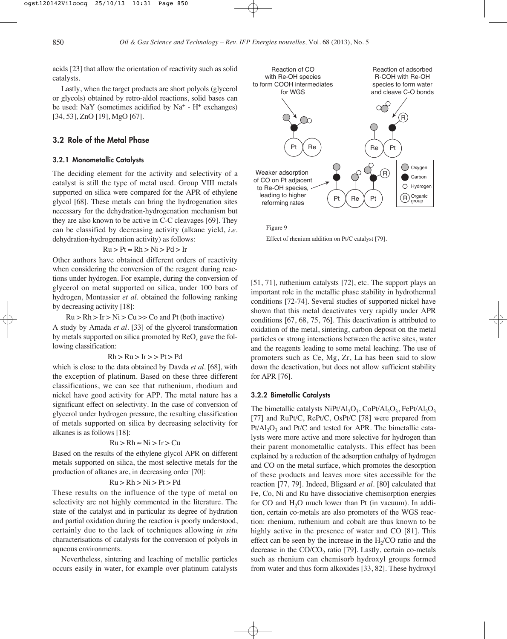acids [23] that allow the orientation of reactivity such as solid catalysts.

Lastly, when the target products are short polyols (glycerol or glycols) obtained by retro-aldol reactions, solid bases can be used: NaY (sometimes acidified by Na<sup>+</sup> - H<sup>+</sup> exchanges) [34, 53], ZnO [19], MgO [67].

## 3.2 Role of the Metal Phase

#### 3.2.1 Monometallic Catalysts

The deciding element for the activity and selectivity of a catalyst is still the type of metal used. Group VIII metals supported on silica were compared for the APR of ethylene glycol [68]. These metals can bring the hydrogenation sites necessary for the dehydration-hydrogenation mechanism but they are also known to be active in C-C cleavages [69]. They can be classified by decreasing activity (alkane yield, *i*.*e*. dehydration-hydrogenation activity) as follows:

 $Ru > Pt \approx Rh > Ni > Pd > Ir$ 

Other authors have obtained different orders of reactivity when considering the conversion of the reagent during reactions under hydrogen. For example, during the conversion of glycerol on metal supported on silica, under 100 bars of hydrogen, Montassier *et al.* obtained the following ranking by decreasing activity [18]:

 $Ru > Rh > Ir > Ni > Cu >> Co$  and Pt (both inactive)

A study by Amada *et al.* [33] of the glycerol transformation by metals supported on silica promoted by ReO*<sup>x</sup>* gave the following classification:

#### $Rh > Ru > Ir >> Pt > Pd$

which is close to the data obtained by Davda *et al.* [68], with the exception of platinum. Based on these three different classifications, we can see that ruthenium, rhodium and nickel have good activity for APP. The metal nature has a significant effect on selectivity. In the case of conversion of glycerol under hydrogen pressure, the resulting classification of metals supported on silica by decreasing selectivity for alkanes is as follows [18]:

#### $Ru > Rh \approx Ni > Ir > Cu$

Based on the results of the ethylene glycol APR on different metals supported on silica, the most selective metals for the production of alkanes are, in decreasing order [70]:

#### $Ru > Rh > Ni > Pt > Pd$

These results on the influence of the type of metal on selectivity are not highly commented in the literature. The state of the catalyst and in particular its degree of hydration and partial oxidation during the reaction is poorly understood, certainly due to the lack of techniques allowing *in situ* characterisations of catalysts for the conversion of polyols in aqueous environments.

Nevertheless, sintering and leaching of metallic particles occurs easily in water, for example over platinum catalysts



Effect of rhenium addition on Pt/C catalyst [79].

[51, 71], ruthenium catalysts [72], etc. The support plays an important role in the metallic phase stability in hydrothermal conditions [72-74]. Several studies of supported nickel have shown that this metal deactivates very rapidly under APR conditions [67, 68, 75, 76]. This deactivation is attributed to oxidation of the metal, sintering, carbon deposit on the metal particles or strong interactions between the active sites, water and the reagents leading to some metal leaching. The use of promoters such as Ce, Mg, Zr, La has been said to slow down the deactivation, but does not allow sufficient stability for APR [76].

#### 3.2.2 Bimetallic Catalysts

The bimetallic catalysts  $NiPt/Al_2O_3$ ,  $CoPt/Al_2O_3$ ,  $FePt/Al_2O_3$ [77] and RuPt/C, RePt/C, OsPt/C [78] were prepared from  $Pt/Al_2O_3$  and Pt/C and tested for APR. The bimetallic catalysts were more active and more selective for hydrogen than their parent monometallic catalysts. This effect has been explained by a reduction of the adsorption enthalpy of hydrogen and CO on the metal surface, which promotes the desorption of these products and leaves more sites accessible for the reaction [77, 79]. Indeed, Bligaard *et al*. [80] calculated that Fe, Co, Ni and Ru have dissociative chemisorption energies for CO and  $H_2O$  much lower than Pt (in vacuum). In addition, certain co-metals are also promoters of the WGS reaction: rhenium, ruthenium and cobalt are thus known to be highly active in the presence of water and CO [81]. This effect can be seen by the increase in the  $H<sub>2</sub>/CO$  ratio and the decrease in the  $CO/CO<sub>2</sub>$  ratio [79]. Lastly, certain co-metals such as rhenium can chemisorb hydroxyl groups formed from water and thus form alkoxides [33, 82]. These hydroxyl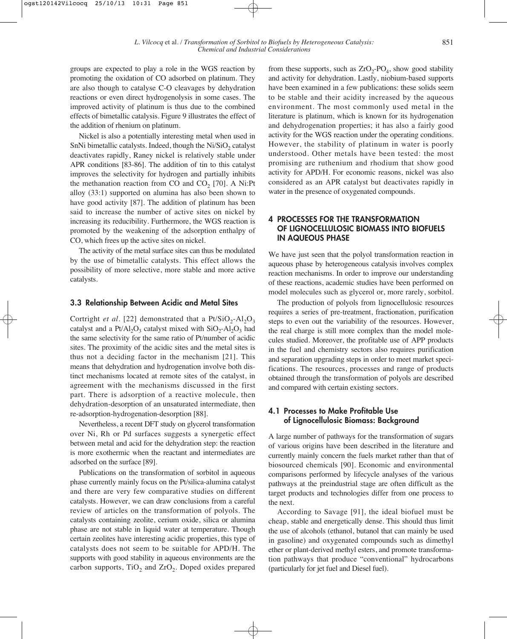groups are expected to play a role in the WGS reaction by promoting the oxidation of CO adsorbed on platinum. They are also though to catalyse C-O cleavages by dehydration reactions or even direct hydrogenolysis in some cases. The improved activity of platinum is thus due to the combined effects of bimetallic catalysis. Figure 9 illustrates the effect of the addition of rhenium on platinum.

Nickel is also a potentially interesting metal when used in SnNi bimetallic catalysts. Indeed, though the  $Ni/SiO<sub>2</sub>$  catalyst deactivates rapidly, Raney nickel is relatively stable under APR conditions [83-86]. The addition of tin to this catalyst improves the selectivity for hydrogen and partially inhibits the methanation reaction from CO and  $CO<sub>2</sub>$  [70]. A Ni:Pt alloy (33:1) supported on alumina has also been shown to have good activity [87]. The addition of platinum has been said to increase the number of active sites on nickel by increasing its reducibility. Furthermore, the WGS reaction is promoted by the weakening of the adsorption enthalpy of CO, which frees up the active sites on nickel.

The activity of the metal surface sites can thus be modulated by the use of bimetallic catalysts. This effect allows the possibility of more selective, more stable and more active catalysts.

#### 3.3 Relationship Between Acidic and Metal Sites

Cortright *et al.* [22] demonstrated that a  $Pt/SiO<sub>2</sub>-Al<sub>2</sub>O<sub>3</sub>$ catalyst and a Pt/Al<sub>2</sub>O<sub>3</sub> catalyst mixed with  $SiO<sub>2</sub>-Al<sub>2</sub>O<sub>3</sub>$  had the same selectivity for the same ratio of Pt/number of acidic sites. The proximity of the acidic sites and the metal sites is thus not a deciding factor in the mechanism [21]. This means that dehydration and hydrogenation involve both distinct mechanisms located at remote sites of the catalyst, in agreement with the mechanisms discussed in the first part. There is adsorption of a reactive molecule, then dehydration-desorption of an unsaturated intermediate, then re-adsorption-hydrogenation-desorption [88].

Nevertheless, a recent DFT study on glycerol transformation over Ni, Rh or Pd surfaces suggests a synergetic effect between metal and acid for the dehydration step: the reaction is more exothermic when the reactant and intermediates are adsorbed on the surface [89].

Publications on the transformation of sorbitol in aqueous phase currently mainly focus on the Pt/silica-alumina catalyst and there are very few comparative studies on different catalysts. However, we can draw conclusions from a careful review of articles on the transformation of polyols. The catalysts containing zeolite, cerium oxide, silica or alumina phase are not stable in liquid water at temperature. Though certain zeolites have interesting acidic properties, this type of catalysts does not seem to be suitable for APD/H. The supports with good stability in aqueous environments are the carbon supports,  $TiO<sub>2</sub>$  and  $ZrO<sub>2</sub>$ . Doped oxides prepared

from these supports, such as  $ZrO_2-PO_4$ , show good stability and activity for dehydration. Lastly, niobium-based supports have been examined in a few publications: these solids seem to be stable and their acidity increased by the aqueous environment. The most commonly used metal in the literature is platinum, which is known for its hydrogenation and dehydrogenation properties; it has also a fairly good activity for the WGS reaction under the operating conditions. However, the stability of platinum in water is poorly understood. Other metals have been tested: the most promising are ruthenium and rhodium that show good activity for APD/H. For economic reasons, nickel was also considered as an APR catalyst but deactivates rapidly in water in the presence of oxygenated compounds.

## 4 PROCESSES FOR THE TRANSFORMATION OF LIGNOCELLULOSIC BIOMASS INTO BIOFUELS IN AQUEOUS PHASE

We have just seen that the polyol transformation reaction in aqueous phase by heterogeneous catalysis involves complex reaction mechanisms. In order to improve our understanding of these reactions, academic studies have been performed on model molecules such as glycerol or, more rarely, sorbitol.

The production of polyols from lignocellulosic resources requires a series of pre-treatment, fractionation, purification steps to even out the variability of the resources. However, the real charge is still more complex than the model molecules studied. Moreover, the profitable use of APP products in the fuel and chemistry sectors also requires purification and separation upgrading steps in order to meet market specifications. The resources, processes and range of products obtained through the transformation of polyols are described and compared with certain existing sectors.

## 4.1 Processes to Make Profitable Use of Lignocellulosic Biomass: Background

A large number of pathways for the transformation of sugars of various origins have been described in the literature and currently mainly concern the fuels market rather than that of biosourced chemicals [90]. Economic and environmental comparisons performed by lifecycle analyses of the various pathways at the preindustrial stage are often difficult as the target products and technologies differ from one process to the next.

According to Savage [91], the ideal biofuel must be cheap, stable and energetically dense. This should thus limit the use of alcohols (ethanol, butanol that can mainly be used in gasoline) and oxygenated compounds such as dimethyl ether or plant-derived methyl esters, and promote transformation pathways that produce "conventional" hydrocarbons (particularly for jet fuel and Diesel fuel).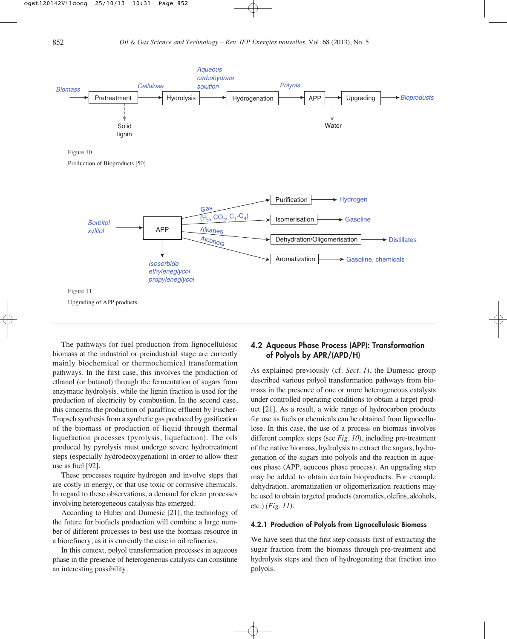

The pathways for fuel production from lignocellulosic biomass at the industrial or preindustrial stage are currently mainly biochemical or thermochemical transformation pathways. In the first case, this involves the production of ethanol (or butanol) through the fermentation of sugars from enzymatic hydrolysis, while the lignin fraction is used for the production of electricity by combustion. In the second case, this concerns the production of paraffinic effluent by Fischer-Tropsch synthesis from a synthetic gas produced by gasification of the biomass or production of liquid through thermal liquefaction processes (pyrolysis, liquefaction). The oils produced by pyrolysis must undergo severe hydrotreatment steps (especially hydrodeoxygenation) in order to allow their use as fuel [92].

These processes require hydrogen and involve steps that are costly in energy, or that use toxic or corrosive chemicals. In regard to these observations, a demand for clean processes involving heterogeneous catalysis has emerged.

According to Huber and Dumesic [21], the technology of the future for biofuels production will combine a large number of different processes to best use the biomass resource in a biorefinery, as it is currently the case in oil refineries.

In this context, polyol transformation processes in aqueous phase in the presence of heterogeneous catalysts can constitute an interesting possibility.

## 4.2 Aqueous Phase Process (APP): Transformation of Polyols by APR/(APD/H)

As explained previously (cf. *Sect. 1*), the Dumesic group described various polyol transformation pathways from biomass in the presence of one or more heterogeneous catalysts under controlled operating conditions to obtain a target product [21]. As a result, a wide range of hydrocarbon products for use as fuels or chemicals can be obtained from lignocellulose. In this case, the use of a process on biomass involves different complex steps (see *Fig. 10*), including pre-treatment of the native biomass, hydrolysis to extract the sugars, hydrogenation of the sugars into polyols and the reaction in aqueous phase (APP, aqueous phase process). An upgrading step may be added to obtain certain bioproducts. For example dehydration, aromatization or oligomerization reactions may be used to obtain targeted products (aromatics, olefins, alcohols, etc.) *(Fig. 11)*.

#### 4.2.1 Production of Polyols from Lignocellulosic Biomass

We have seen that the first step consists first of extracting the sugar fraction from the biomass through pre-treatment and hydrolysis steps and then of hydrogenating that fraction into polyols.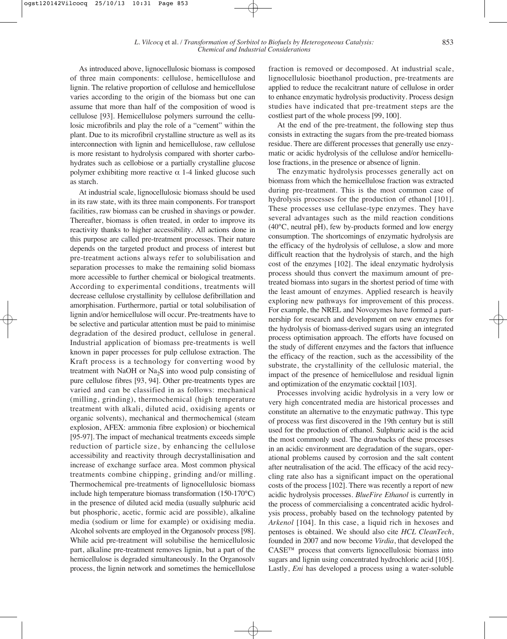As introduced above, lignocellulosic biomass is composed of three main components: cellulose, hemicellulose and lignin. The relative proportion of cellulose and hemicellulose varies according to the origin of the biomass but one can assume that more than half of the composition of wood is cellulose [93]. Hemicellulose polymers surround the cellulosic microfibrils and play the role of a "cement" within the plant. Due to its microfibril crystalline structure as well as its interconnection with lignin and hemicellulose, raw cellulose is more resistant to hydrolysis compared with shorter carbohydrates such as cellobiose or a partially crystalline glucose polymer exhibiting more reactive  $\alpha$  1-4 linked glucose such as starch.

At industrial scale, lignocellulosic biomass should be used in its raw state, with its three main components. For transport facilities, raw biomass can be crushed in shavings or powder. Thereafter, biomass is often treated, in order to improve its reactivity thanks to higher accessibility. All actions done in this purpose are called pre-treatment processes. Their nature depends on the targeted product and process of interest but pre-treatment actions always refer to solubilisation and separation processes to make the remaining solid biomass more accessible to further chemical or biological treatments. According to experimental conditions, treatments will decrease cellulose crystallinity by cellulose defibrillation and amorphisation. Furthermore, partial or total solubilisation of lignin and/or hemicellulose will occur. Pre-treatments have to be selective and particular attention must be paid to minimise degradation of the desired product, cellulose in general. Industrial application of biomass pre-treatments is well known in paper processes for pulp cellulose extraction. The Kraft process is a technology for converting wood by treatment with NaOH or  $Na<sub>2</sub>S$  into wood pulp consisting of pure cellulose fibres [93, 94]. Other pre-treatments types are varied and can be classified in as follows: mechanical (milling, grinding), thermochemical (high temperature treatment with alkali, diluted acid, oxidising agents or organic solvents), mechanical and thermochemical (steam explosion, AFEX: ammonia fibre explosion) or biochemical [95-97]. The impact of mechanical treatments exceeds simple reduction of particle size, by enhancing the cellulose accessibility and reactivity through decrystallinisation and increase of exchange surface area. Most common physical treatments combine chipping, grinding and/or milling. Thermochemical pre-treatments of lignocellulosic biomass include high temperature biomass transformation (150-170°C) in the presence of diluted acid media (usually sulphuric acid but phosphoric, acetic, formic acid are possible), alkaline media (sodium or lime for example) or oxidising media. Alcohol solvents are employed in the Organosolv process [98]. While acid pre-treatment will solubilise the hemicellulosic part, alkaline pre-treatment removes lignin, but a part of the hemicellulose is degraded simultaneously. In the Organosolv process, the lignin network and sometimes the hemicellulose

fraction is removed or decomposed. At industrial scale, lignocellulosic bioethanol production, pre-treatments are applied to reduce the recalcitrant nature of cellulose in order to enhance enzymatic hydrolysis productivity. Process design studies have indicated that pre-treatment steps are the costliest part of the whole process [99, 100].

At the end of the pre-treatment, the following step thus consists in extracting the sugars from the pre-treated biomass residue. There are different processes that generally use enzymatic or acidic hydrolysis of the cellulose and/or hemicellulose fractions, in the presence or absence of lignin.

The enzymatic hydrolysis processes generally act on biomass from which the hemicellulose fraction was extracted during pre-treatment. This is the most common case of hydrolysis processes for the production of ethanol [101]. These processes use cellulase-type enzymes. They have several advantages such as the mild reaction conditions (40°C, neutral pH), few by-products formed and low energy consumption. The shortcomings of enzymatic hydrolysis are the efficacy of the hydrolysis of cellulose, a slow and more difficult reaction that the hydrolysis of starch, and the high cost of the enzymes [102]. The ideal enzymatic hydrolysis process should thus convert the maximum amount of pretreated biomass into sugars in the shortest period of time with the least amount of enzymes. Applied research is heavily exploring new pathways for improvement of this process. For example, the NREL and Novozymes have formed a partnership for research and development on new enzymes for the hydrolysis of biomass-derived sugars using an integrated process optimisation approach. The efforts have focused on the study of different enzymes and the factors that influence the efficacy of the reaction, such as the accessibility of the substrate, the crystallinity of the cellulosic material, the impact of the presence of hemicellulose and residual lignin and optimization of the enzymatic cocktail [103].

Processes involving acidic hydrolysis in a very low or very high concentrated media are historical processes and constitute an alternative to the enzymatic pathway. This type of process was first discovered in the 19th century but is still used for the production of ethanol. Sulphuric acid is the acid the most commonly used. The drawbacks of these processes in an acidic environment are degradation of the sugars, operational problems caused by corrosion and the salt content after neutralisation of the acid. The efficacy of the acid recycling rate also has a significant impact on the operational costs of the process [102]. There was recently a report of new acidic hydrolysis processes. *BlueFire Ethanol* is currently in the process of commercialising a concentrated acidic hydrolysis process, probably based on the technology patented by *Arkenol* [104]. In this case, a liquid rich in hexoses and pentoses is obtained. We should also cite *HCL CleanTech*, founded in 2007 and now become *Virdia*, that developed the CASE™ process that converts lignocellulosic biomass into sugars and lignin using concentrated hydrochloric acid [105]. Lastly, *Eni* has developed a process using a water-soluble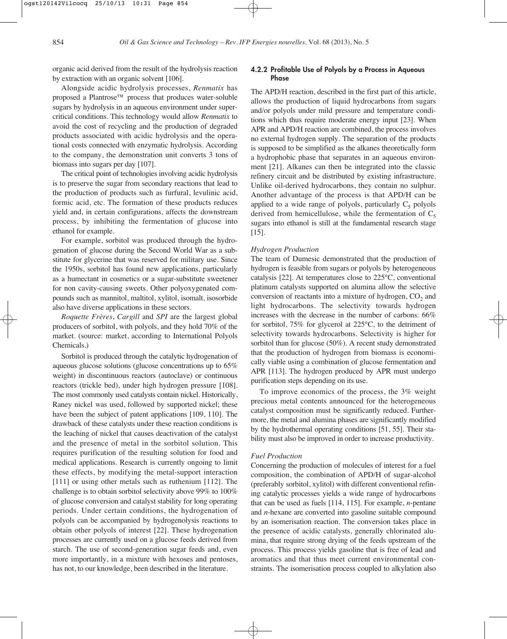organic acid derived from the result of the hydrolysis reaction by extraction with an organic solvent [106].

Alongside acidic hydrolysis processes, *Renmatix* has proposed a Plantrose™ process that produces water-soluble sugars by hydrolysis in an aqueous environment under supercritical conditions. This technology would allow *Renmatix* to avoid the cost of recycling and the production of degraded products associated with acidic hydrolysis and the operational costs connected with enzymatic hydrolysis. According to the company, the demonstration unit converts 3 tons of biomass into sugars per day [107].

The critical point of technologies involving acidic hydrolysis is to preserve the sugar from secondary reactions that lead to the production of products such as furfural, levulinic acid, formic acid, etc. The formation of these products reduces yield and, in certain configurations, affects the downstream process, by inhibiting the fermentation of glucose into ethanol for example.

For example, sorbitol was produced through the hydrogenation of glucose during the Second World War as a substitute for glycerine that was reserved for military use. Since the 1950s, sorbitol has found new applications, particularly as a humectant in cosmetics or a sugar-substitute sweetener for non cavity-causing sweets. Other polyoxygenated compounds such as mannitol, maltitol, xylitol, isomalt, isosorbide also have diverse applications in these sectors.

*Roquette Frères*, *Cargill* and *SPI* are the largest global producers of sorbitol, with polyols, and they hold 70% of the market. (source: market, according to International Polyols Chemicals.)

Sorbitol is produced through the catalytic hydrogenation of aqueous glucose solutions (glucose concentrations up to 65% weight) in discontinuous reactors (autoclave) or continuous reactors (trickle bed), under high hydrogen pressure [108]. The most commonly used catalysts contain nickel. Historically, Raney nickel was used, followed by supported nickel; these have been the subject of patent applications [109, 110]. The drawback of these catalysts under these reaction conditions is the leaching of nickel that causes deactivation of the catalyst and the presence of metal in the sorbitol solution. This requires purification of the resulting solution for food and medical applications. Research is currently ongoing to limit these effects, by modifying the metal-support interaction [111] or using other metals such as ruthenium [112]. The challenge is to obtain sorbitol selectivity above 99% to 100% of glucose conversion and catalyst stability for long operating periods. Under certain conditions, the hydrogenation of polyols can be accompanied by hydrogenolysis reactions to obtain other polyols of interest [22]. These hydrogenation processes are currently used on a glucose feeds derived from starch. The use of second-generation sugar feeds and, even more importantly, in a mixture with hexoses and pentoses, has not, to our knowledge, been described in the literature.

## 4.2.2 Profitable Use of Polyols by a Process in Aqueous Phase

The APD/H reaction, described in the first part of this article, allows the production of liquid hydrocarbons from sugars and/or polyols under mild pressure and temperature conditions which thus require moderate energy input [23]. When APR and APD/H reaction are combined, the process involves no external hydrogen supply. The separation of the products is supposed to be simplified as the alkanes theoretically form a hydrophobic phase that separates in an aqueous environment [21]. Alkanes can then be integrated into the classic refinery circuit and be distributed by existing infrastructure. Unlike oil-derived hydrocarbons, they contain no sulphur. Another advantage of the process is that APD/H can be applied to a wide range of polyols, particularly  $C_5$  polyols derived from hemicellulose, while the fermentation of  $C_5$ sugars into ethanol is still at the fundamental research stage [15].

#### *Hydrogen Production*

The team of Dumesic demonstrated that the production of hydrogen is feasible from sugars or polyols by heterogeneous catalysis [22]. At temperatures close to 225°C, conventional platinum catalysts supported on alumina allow the selective conversion of reactants into a mixture of hydrogen,  $CO<sub>2</sub>$  and light hydrocarbons. The selectivity towards hydrogen increases with the decrease in the number of carbons: 66% for sorbitol, 75% for glycerol at 225°C, to the detriment of selectivity towards hydrocarbons. Selectivity is higher for sorbitol than for glucose (50%). A recent study demonstrated that the production of hydrogen from biomass is economically viable using a combination of glucose fermentation and APR [113]. The hydrogen produced by APR must undergo purification steps depending on its use.

To improve economics of the process, the 3% weight precious metal contents announced for the heterogeneous catalyst composition must be significantly reduced. Furthermore, the metal and alumina phases are significantly modified by the hydrothermal operating conditions [51, 55]. Their stability must also be improved in order to increase productivity.

#### *Fuel Production*

Concerning the production of molecules of interest for a fuel composition, the combination of APD/H of sugar-alcohol (preferably sorbitol, xylitol) with different conventional refining catalytic processes yields a wide range of hydrocarbons that can be used as fuels [114, 115]. For example, *n*-pentane and *n*-hexane are converted into gasoline suitable compound by an isomerisation reaction. The conversion takes place in the presence of acidic catalysts, generally chlorinated alumina, that require strong drying of the feeds upstream of the process. This process yields gasoline that is free of lead and aromatics and that thus meet current environmental constraints. The isomerisation process coupled to alkylation also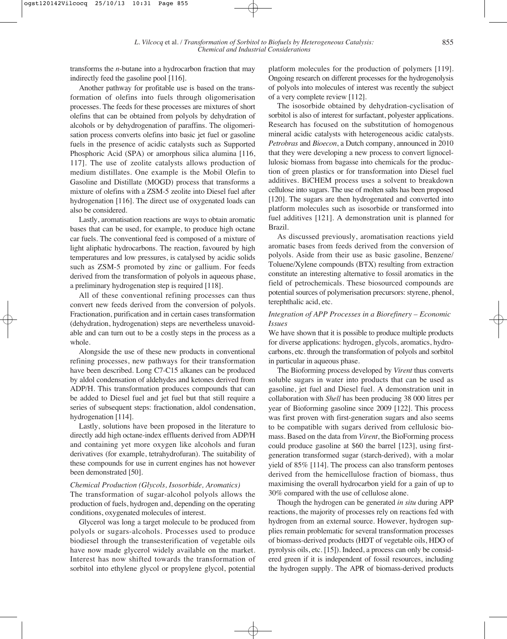transforms the *n*-butane into a hydrocarbon fraction that may indirectly feed the gasoline pool [116].

Another pathway for profitable use is based on the transformation of olefins into fuels through oligomerisation processes. The feeds for these processes are mixtures of short olefins that can be obtained from polyols by dehydration of alcohols or by dehydrogenation of paraffins. The oligomerisation process converts olefins into basic jet fuel or gasoline fuels in the presence of acidic catalysts such as Supported Phosphoric Acid (SPA) or amorphous silica alumina [116, 117]. The use of zeolite catalysts allows production of medium distillates. One example is the Mobil Olefin to Gasoline and Distillate (MOGD) process that transforms a mixture of olefins with a ZSM-5 zeolite into Diesel fuel after hydrogenation [116]. The direct use of oxygenated loads can also be considered.

Lastly, aromatisation reactions are ways to obtain aromatic bases that can be used, for example, to produce high octane car fuels. The conventional feed is composed of a mixture of light aliphatic hydrocarbons. The reaction, favoured by high temperatures and low pressures, is catalysed by acidic solids such as ZSM-5 promoted by zinc or gallium. For feeds derived from the transformation of polyols in aqueous phase, a preliminary hydrogenation step is required [118].

All of these conventional refining processes can thus convert new feeds derived from the conversion of polyols. Fractionation, purification and in certain cases transformation (dehydration, hydrogenation) steps are nevertheless unavoidable and can turn out to be a costly steps in the process as a whole.

Alongside the use of these new products in conventional refining processes, new pathways for their transformation have been described. Long C7-C15 alkanes can be produced by aldol condensation of aldehydes and ketones derived from ADP/H. This transformation produces compounds that can be added to Diesel fuel and jet fuel but that still require a series of subsequent steps: fractionation, aldol condensation, hydrogenation [114].

Lastly, solutions have been proposed in the literature to directly add high octane-index effluents derived from ADP/H and containing yet more oxygen like alcohols and furan derivatives (for example, tetrahydrofuran). The suitability of these compounds for use in current engines has not however been demonstrated [50].

#### *Chemical Production (Glycols, Isosorbide, Aromatics)*

The transformation of sugar-alcohol polyols allows the production of fuels, hydrogen and, depending on the operating conditions, oxygenated molecules of interest.

Glycerol was long a target molecule to be produced from polyols or sugars-alcohols. Processes used to produce biodiesel through the transesterification of vegetable oils have now made glycerol widely available on the market. Interest has now shifted towards the transformation of sorbitol into ethylene glycol or propylene glycol, potential

platform molecules for the production of polymers [119]. Ongoing research on different processes for the hydrogenolysis of polyols into molecules of interest was recently the subject of a very complete review [112].

The isosorbide obtained by dehydration-cyclisation of sorbitol is also of interest for surfactant, polyester applications. Research has focused on the substitution of homogenous mineral acidic catalysts with heterogeneous acidic catalysts. *Petrobras* and *Bioecon*, a Dutch company, announced in 2010 that they were developing a new process to convert lignocellulosic biomass from bagasse into chemicals for the production of green plastics or for transformation into Diesel fuel additives. BiCHEM process uses a solvent to breakdown cellulose into sugars. The use of molten salts has been proposed [120]. The sugars are then hydrogenated and converted into platform molecules such as isosorbide or transformed into fuel additives [121]. A demonstration unit is planned for Brazil.

As discussed previously, aromatisation reactions yield aromatic bases from feeds derived from the conversion of polyols. Aside from their use as basic gasoline, Benzene/ Toluene/Xylene compounds (BTX) resulting from extraction constitute an interesting alternative to fossil aromatics in the field of petrochemicals. These biosourced compounds are potential sources of polymerisation precursors: styrene, phenol, terephthalic acid, etc.

#### *Integration of APP Processes in a Biorefinery – Economic Issues*

We have shown that it is possible to produce multiple products for diverse applications: hydrogen, glycols, aromatics, hydrocarbons, etc. through the transformation of polyols and sorbitol in particular in aqueous phase.

The Bioforming process developed by *Virent* thus converts soluble sugars in water into products that can be used as gasoline, jet fuel and Diesel fuel. A demonstration unit in collaboration with *Shell* has been producing 38 000 litres per year of Bioforming gasoline since 2009 [122]. This process was first proven with first-generation sugars and also seems to be compatible with sugars derived from cellulosic biomass. Based on the data from *Virent*, the BioForming process could produce gasoline at \$60 the barrel [123], using firstgeneration transformed sugar (starch-derived), with a molar yield of 85% [114]. The process can also transform pentoses derived from the hemicellulose fraction of biomass, thus maximising the overall hydrocarbon yield for a gain of up to 30% compared with the use of cellulose alone.

Though the hydrogen can be generated *in situ* during APP reactions, the majority of processes rely on reactions fed with hydrogen from an external source. However, hydrogen supplies remain problematic for several transformation processes of biomass-derived products (HDT of vegetable oils, HDO of pyrolysis oils, etc. [15]). Indeed, a process can only be considered green if it is independent of fossil resources, including the hydrogen supply. The APR of biomass-derived products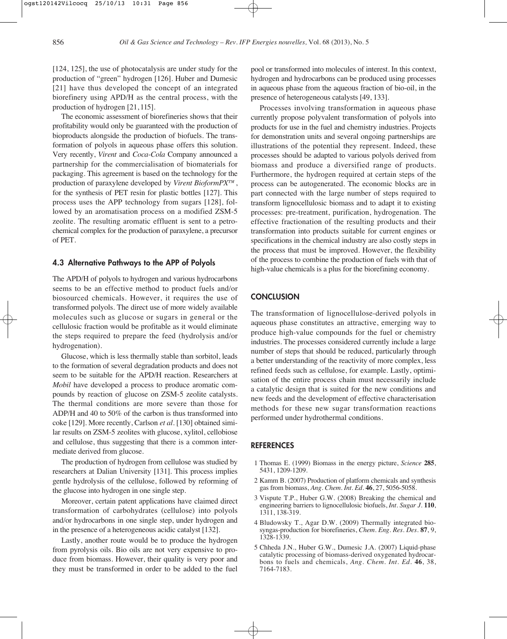[124, 125], the use of photocatalysis are under study for the production of "green" hydrogen [126]. Huber and Dumesic [21] have thus developed the concept of an integrated biorefinery using APD/H as the central process, with the production of hydrogen [21, 115].

The economic assessment of biorefineries shows that their profitability would only be guaranteed with the production of bioproducts alongside the production of biofuels. The transformation of polyols in aqueous phase offers this solution. Very recently, *Virent* and *Coca-Cola* Company announced a partnership for the commercialisation of biomaterials for packaging. This agreement is based on the technology for the production of paraxylene developed by *Virent BioformPX™*, for the synthesis of PET resin for plastic bottles [127]. This process uses the APP technology from sugars [128], followed by an aromatisation process on a modified ZSM-5 zeolite. The resulting aromatic effluent is sent to a petrochemical complex for the production of paraxylene, a precursor of PET.

#### 4.3 Alternative Pathways to the APP of Polyols

The APD/H of polyols to hydrogen and various hydrocarbons seems to be an effective method to product fuels and/or biosourced chemicals. However, it requires the use of transformed polyols. The direct use of more widely available molecules such as glucose or sugars in general or the cellulosic fraction would be profitable as it would eliminate the steps required to prepare the feed (hydrolysis and/or hydrogenation).

Glucose, which is less thermally stable than sorbitol, leads to the formation of several degradation products and does not seem to be suitable for the APD/H reaction. Researchers at *Mobil* have developed a process to produce aromatic compounds by reaction of glucose on ZSM-5 zeolite catalysts. The thermal conditions are more severe than those for ADP/H and 40 to 50% of the carbon is thus transformed into coke [129]. More recently, Carlson *et al.* [130] obtained similar results on ZSM-5 zeolites with glucose, xylitol, cellobiose and cellulose, thus suggesting that there is a common intermediate derived from glucose.

The production of hydrogen from cellulose was studied by researchers at Dalian University [131]. This process implies gentle hydrolysis of the cellulose, followed by reforming of the glucose into hydrogen in one single step.

Moreover, certain patent applications have claimed direct transformation of carbohydrates (cellulose) into polyols and/or hydrocarbons in one single step, under hydrogen and in the presence of a heterogeneous acidic catalyst [132].

Lastly, another route would be to produce the hydrogen from pyrolysis oils. Bio oils are not very expensive to produce from biomass. However, their quality is very poor and they must be transformed in order to be added to the fuel pool or transformed into molecules of interest. In this context, hydrogen and hydrocarbons can be produced using processes in aqueous phase from the aqueous fraction of bio-oil, in the presence of heterogeneous catalysts [49, 133].

Processes involving transformation in aqueous phase currently propose polyvalent transformation of polyols into products for use in the fuel and chemistry industries. Projects for demonstration units and several ongoing partnerships are illustrations of the potential they represent. Indeed, these processes should be adapted to various polyols derived from biomass and produce a diversified range of products. Furthermore, the hydrogen required at certain steps of the process can be autogenerated. The economic blocks are in part connected with the large number of steps required to transform lignocellulosic biomass and to adapt it to existing processes: pre-treatment, purification, hydrogenation. The effective fractionation of the resulting products and their transformation into products suitable for current engines or specifications in the chemical industry are also costly steps in the process that must be improved. However, the flexibility of the process to combine the production of fuels with that of high-value chemicals is a plus for the biorefining economy.

## **CONCLUSION**

The transformation of lignocellulose-derived polyols in aqueous phase constitutes an attractive, emerging way to produce high-value compounds for the fuel or chemistry industries. The processes considered currently include a large number of steps that should be reduced, particularly through a better understanding of the reactivity of more complex, less refined feeds such as cellulose, for example. Lastly, optimisation of the entire process chain must necessarily include a catalytic design that is suited for the new conditions and new feeds and the development of effective characterisation methods for these new sugar transformation reactions performed under hydrothermal conditions.

#### **REFERENCES**

- 1 Thomas E. (1999) Biomass in the energy picture, *Science* **285**, 5431, 1209-1209.
- 2 Kamm B. (2007) Production of platform chemicals and synthesis gas from biomass, *Ang. Chem. Int. Ed.* **46**, 27, 5056-5058.
- 3 Vispute T.P., Huber G.W. (2008) Breaking the chemical and engineering barriers to lignocellulosic biofuels, *Int. Sugar J.* **110**, 1311, 138-319.
- 4 Bludowsky T., Agar D.W. (2009) Thermally integrated biosyngas-production for biorefineries, *Chem. Eng. Res. Des.* **87**, 9, 1328-1339.
- 5 Chheda J.N., Huber G.W., Dumesic J.A. (2007) Liquid-phase catalytic processing of biomass-derived oxygenated hydrocarbons to fuels and chemicals, *Ang. Chem. Int. Ed.* **46**, 38, 7164-7183.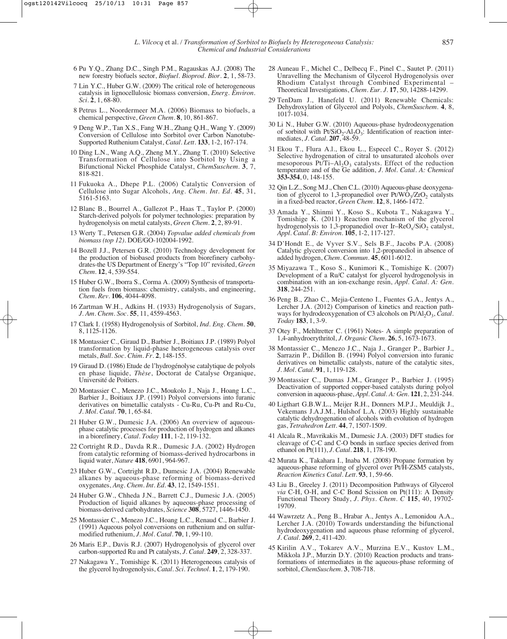- 6 Pu Y.Q., Zhang D.C., Singh P.M., Ragauskas A.J. (2008) The new forestry biofuels sector, *Biofuel. Bioprod. Bior.* **2**, 1, 58-73.
- 7 Lin Y.C., Huber G.W. (2009) The critical role of heterogeneous catalysis in lignocellulosic biomass conversion, *Energ. Environ. Sci.* **2**, 1, 68-80.
- 8 Petrus L., Noordermeer M.A. (2006) Biomass to biofuels, a chemical perspective, *Green Chem.* **8**, 10, 861-867.
- 9 Deng W.P., Tan X.S., Fang W.H., Zhang Q.H., Wang Y. (2009) Conversion of Cellulose into Sorbitol over Carbon Nanotube-Supported Ruthenium Catalyst, *Catal. Lett.* **133**, 1-2, 167-174.
- 10 Ding L.N., Wang A.Q., Zheng M.Y., Zhang T. (2010) Selective Transformation of Cellulose into Sorbitol by Using a Bifunctional Nickel Phosphide Catalyst, *ChemSuschem.* **3**, 7, 818-821.
- 11 Fukuoka A., Dhepe P.L. (2006) Catalytic Conversion of Cellulose into Sugar Alcohols, *Ang. Chem. Int. Ed.* **45**, 31, 5161-5163.
- 12 Blanc B., Bourrel A., Gallezot P., Haas T., Taylor P. (2000) Starch-derived polyols for polymer technologies: preparation by hydrogenolysis on metal catalysts, *Green Chem.* **2**, 2, 89-91.
- 13 Werty T., Petersen G.R. (2004) *Topvalue added chemicals from biomass (top 12)*. DOE/GO-102004-1992.
- 14 Bozell J.J., Petersen G.R. (2010) Technology development for the production of biobased products from biorefinery carbohydrates-the US Department of Energy's "Top 10" revisited, *Green Chem.* **12**, 4, 539-554.
- 15 Huber G.W., Iborra S., Corma A. (2009) Synthesis of transportation fuels from biomass: chemistry, catalysts, and engineering, *Chem. Rev.* **106**, 4044-4098.
- 16 Zartman W.H., Adkins H. (1933) Hydrogenolysis of Sugars, *J. Am. Chem. Soc.* **55**, 11, 4559-4563.
- 17 Clark I. (1958) Hydrogenolysis of Sorbitol, *Ind. Eng. Chem.* **50**, 8, 1125-1126.
- 18 Montassier C., Giraud D., Barbier J., Boitiaux J.P. (1989) Polyol transformation by liquid-phase heterogeneous catalysis over metals, *Bull. Soc. Chim. Fr.* **2**, 148-155.
- 19 Giraud D. (1986) Etude de l'hydrogénolyse catalytique de polyols en phase liquide, *Thèse*, Doctorat de Catalyse Organique, Université de Poitiers.
- 20 Montassier C., Menezo J.C., Moukolo J., Naja J., Hoang L.C., Barbier J., Boitiaux J.P. (1991) Polyol conversions into furanic derivatives on bimetallic catalysts - Cu-Ru, Cu-Pt and Ru-Cu, *J. Mol. Catal.* **70**, 1, 65-84.
- 21 Huber G.W., Dumesic J.A. (2006) An overview of aqueousphase catalytic processes for production of hydrogen and alkanes in a biorefinery, *Catal. Today* **111**, 1-2, 119-132.
- 22 Cortright R.D., Davda R.R., Dumesic J.A. (2002) Hydrogen from catalytic reforming of biomass-derived hydrocarbons in liquid water, *Nature* **418**, 6901, 964-967.
- 23 Huber G.W., Cortright R.D., Dumesic J.A. (2004) Renewable alkanes by aqueous-phase reforming of biomass-derived oxygenates, *Ang. Chem. Int. Ed.* **43**, 12, 1549-1551.
- 24 Huber G.W., Chheda J.N., Barrett C.J., Dumesic J.A. (2005) Production of liquid alkanes by aqueous-phase processing of biomass-derived carbohydrates, *Science* **308**, 5727, 1446-1450.
- 25 Montassier C., Menezo J.C., Hoang L.C., Renaud C., Barbier J. (1991) Aqueous polyol conversions on ruthenium and on sulfurmodified ruthenium, *J. Mol. Catal.* **70**, 1, 99-110.
- 26 Maris E.P., Davis R.J. (2007) Hydrogenolysis of glycerol over carbon-supported Ru and Pt catalysts, *J. Catal.* **249**, 2, 328-337.
- 27 Nakagawa Y., Tomishige K. (2011) Heterogeneous catalysis of the glycerol hydrogenolysis, *Catal. Sci. Technol.* **1**, 2, 179-190.
- 28 Auneau F., Michel C., Delbecq F., Pinel C., Sautet P. (2011) Unravelling the Mechanism of Glycerol Hydrogenolysis over Rhodium Catalyst through Combined Experimental – Theoretical Investigations, *Chem. Eur. J.* **17**, 50, 14288-14299.
- 29 TenDam J., Hanefeld U. (2011) Renewable Chemicals: Dehydroxylation of Glycerol and Polyols, *ChemSuschem.* **4**, 8, 1017-1034.
- 30 Li N., Huber G.W. (2010) Aqueous-phase hydrodeoxygenation of sorbitol with Pt/SiO<sub>2</sub>-Al<sub>2</sub>O<sub>3</sub>: Identification of reaction intermediates, *J. Catal.* **207**, 48-59.
- 31 Ekou T., Flura A.l., Ekou L., Especel C., Royer S. (2012) Selective hydrogenation of citral to unsaturated alcohols over mesoporous Pt/Ti–Al<sub>2</sub>O<sub>3</sub> catalysts. Effect of the reduction temperature and of the Ge addition, *J. Mol. Catal. A: Chemical* **353-354**, 0, 148-155.
- 32 Qin L.Z., Song M.J., Chen C.L. (2010) Aqueous-phase deoxygenation of glycerol to 1,3-propanediol over  $Pt/WO<sub>3</sub>/ZrO<sub>2</sub>$  catalysts in a fixed-bed reactor, *Green Chem.* **12**, 8, 1466-1472.
- 33 Amada Y., Shinmi Y., Koso S., Kubota T., Nakagawa Y., Tomishige K. (2011) Reaction mechanism of the glycerol hydrogenolysis to 1,3-propanediol over Ir–ReO<sub>x</sub>/SiO<sub>2</sub> catalyst, *Appl. Catal. B: Environ.* **105**, 1-2, 117-127.
- 34 D'Hondt E., de Vyver S.V., Sels B.F., Jacobs P.A. (2008) Catalytic glycerol conversion into 1,2-propanediol in absence of added hydrogen, *Chem. Commun.* **45**, 6011-6012.
- 35 Miyazawa T., Koso S., Kunimori K., Tomishige K. (2007) Development of a Ru/C catalyst for glycerol hydrogenolysis in combination with an ion-exchange resin, *Appl. Catal. A: Gen.* **318**, 244-251.
- 36 Peng B., Zhao C., Mejia-Centeno I., Fuentes G.A., Jentys A., Lercher J.A. (2012) Comparison of kinetics and reaction pathways for hydrodeoxygenation of C3 alcohols on Pt/Al<sub>2</sub>O<sub>3</sub>, *Catal*. *Today* **183**, 1, 3-9.
- 37 Otey F., Mehltretter C. (1961) Notes- A simple preparation of 1,4-anhydroerythritol, *J. Organic Chem.* **26**, 5, 1673-1673.
- 38 Montassier C., Menezo J.C., Naja J., Granger P., Barbier J., Sarrazin P., Didillon B. (1994) Polyol conversion into furanic derivatives on bimetallic catalysts, nature of the catalytic sites, *J. Mol. Catal.* **91**, 1, 119-128.
- 39 Montassier C., Dumas J.M., Granger P., Barbier J. (1995) Deactivation of supported copper-based catalysts during polyol conversion in aqueous-phase, *Appl. Catal. A: Gen.* **121**, 2, 231-244.
- 40 Ligthart G.B.W.L., Meijer R.H., Donners M.P.J., Meuldijk J., Vekemans J.A.J.M., Hulshof L.A. (2003) Highly sustainable catalytic dehydrogenation of alcohols with evolution of hydrogen gas, *Tetrahedron Lett.* **44**, 7, 1507-1509.
- 41 Alcala R., Mavrikakis M., Dumesic J.A. (2003) DFT studies for cleavage of C-C and C-O bonds in surface species derived from ethanol on Pt(111), *J. Catal.* **218**, 1, 178-190.
- 42 Murata K., Takahara I., Inaba M. (2008) Propane formation by aqueous-phase reforming of glycerol over Pt/H-ZSM5 catalysts, *Reaction Kinetics Catal. Lett.* **93**, 1, 59-66.
- 43 Liu B., Greeley J. (2011) Decomposition Pathways of Glycerol *via* C-H, O-H, and C-C Bond Scission on Pt(111): A Density Functional Theory Study, *J. Phys. Chem. C* **115**, 40, 19702- 19709.
- 44 Wawrzetz A., Peng B., Hrabar A., Jentys A., Lemonidou A.A., Lercher J.A. (2010) Towards understanding the bifunctional hydrodeoxygenation and aqueous phase reforming of glycerol, *J. Catal.* **269**, 2, 411-420.
- 45 Kirilin A.V., Tokarev A.V., Murzina E.V., Kustov L.M., Mikkola J.P., Murzin D.Y. (2010) Reaction products and transformations of intermediates in the aqueous-phase reforming of sorbitol, *ChemSuschem.* **3**, 708-718.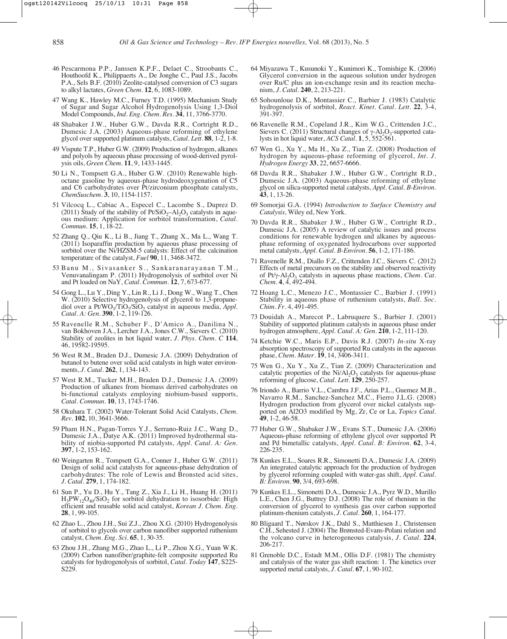- 46 Pescarmona P.P., Janssen K.P.F., Delaet C., Stroobants C., Houthoofd K., Philippaerts A., De Jonghe C., Paul J.S., Jacobs P.A., Sels B.F. (2010) Zeolite-catalysed conversion of C3 sugars to alkyl lactates, *Green Chem.* **12**, 6, 1083-1089.
- 47 Wang K., Hawley M.C., Furney T.D. (1995) Mechanism Study of Sugar and Sugar Alcohol Hydrogenolysis Using 1,3-Diol Model Compounds, *Ind. Eng. Chem. Res.* **34**, 11, 3766-3770.
- 48 Shabaker J.W., Huber G.W., Davda R.R., Cortright R.D., Dumesic J.A. (2003) Aqueous-phase reforming of ethylene glycol over supported platinum catalysts, *Catal. Lett.* **88**, 1-2, 1-8.
- 49 Vispute T.P., Huber G.W. (2009) Production of hydrogen, alkanes and polyols by aqueous phase processing of wood-derived pyrolysis oils, *Green Chem.* **11**, 9, 1433-1445.
- 50 Li N., Tompsett G.A., Huber G.W. (2010) Renewable highoctane gasoline by aqueous-phase hydrodeoxygenation of C5 and C6 carbohydrates over Pt/zirconium phosphate catalysts, *ChemSuschem.* **3**, 10, 1154-1157.
- 51 Vilcocq L., Cabiac A., Especel C., Lacombe S., Duprez D. (2011) Study of the stability of  $Pt/SiO<sub>2</sub>–Al<sub>2</sub>O<sub>3</sub>$  catalysts in aqueous medium: Application for sorbitol transformation, *Catal. Commun.* **15**, 1, 18-22.
- 52 Zhang Q., Qiu K., Li B., Jiang T., Zhang X., Ma L., Wang T. (2011) Isoparaffin production by aqueous phase processing of sorbitol over the Ni/HZSM-5 catalysts: Effect of the calcination temperature of the catalyst, *Fuel* **90**, 11, 3468-3472.
- 53 Banu M., Sivasanker S., Sankaranarayanan T.M., Venuvanalingam P. (2011) Hydrogenolysis of sorbitol over Ni and Pt loaded on NaY, *Catal. Commun.* **12**, 7, 673-677.
- 54 Gong L., Lu Y., Ding Y., Lin R., Li J., Dong W., Wang T., Chen W. (2010) Selective hydrogenolysis of glycerol to 1,3-propanediol over a Pt/WO<sub>3</sub>/TiO<sub>2</sub>/SiO<sub>2</sub> catalyst in aqueous media, *Appl. Catal. A: Gen.* **390**, 1-2, 119-126.
- 55 Ravenelle R.M., Schuber F., D'Amico A., Danilina N., van Bokhoven J.A., Lercher J.A., Jones C.W., Sievers C. (2010) Stability of zeolites in hot liquid water, *J. Phys. Chem. C* **114**, 46, 19582-19595.
- 56 West R.M., Braden D.J., Dumesic J.A. (2009) Dehydration of butanol to butene over solid acid catalysts in high water environments, *J. Catal.* **262**, 1, 134-143.
- 57 West R.M., Tucker M.H., Braden D.J., Dumesic J.A. (2009) Production of alkanes from biomass derived carbohydrates on bi-functional catalysts employing niobium-based supports, *Catal. Commun.* **10**, 13, 1743-1746.
- 58 Okuhara T. (2002) Water-Tolerant Solid Acid Catalysts, *Chem. Rev.* **102**, 10, 3641-3666.
- 59 Pham H.N., Pagan-Torres Y.J., Serrano-Ruiz J.C., Wang D., Dumesic J.A., Datye A.K. (2011) Improved hydrothermal stability of niobia-supported Pd catalysts, *Appl. Catal. A: Gen.* **397**, 1-2, 153-162.
- 60 Weingarten R., Tompsett G.A., Conner J., Huber G.W. (2011) Design of solid acid catalysts for aqueous-phase dehydration of carbohydrates: The role of Lewis and Bronsted acid sites, *J. Catal.* **279**, 1, 174-182.
- 61 Sun P., Yu D., Hu Y., Tang Z., Xia J., Li H., Huang H. (2011)  $H_3PW_{12}O_{40}/SiO_2$  for sorbitol dehydration to isosorbide: High efficient and reusable solid acid catalyst, *Korean J. Chem. Eng.* **28**, 1, 99-105.
- 62 Zhao L., Zhou J.H., Sui Z.J., Zhou X.G. (2010) Hydrogenolysis of sorbitol to glycols over carbon nanofiber supported ruthenium catalyst, *Chem. Eng. Sci.* **65**, 1, 30-35.
- 63 Zhou J.H., Zhang M.G., Zhao L., Li P., Zhou X.G., Yuan W.K. (2009) Carbon nanofiber/graphite-felt composite supported Ru catalysts for hydrogenolysis of sorbitol, *Catal. Today* **147**, S225- S229.
- 64 Miyazawa T., Kusunoki Y., Kunimori K., Tomishige K. (2006) Glycerol conversion in the aqueous solution under hydrogen over Ru/C plus an ion-exchange resin and its reaction mechanism, *J. Catal.* **240**, 2, 213-221.
- 65 Sohounloue D.K., Montassier C., Barbier J. (1983) Catalytic hydrogenolysis of sorbitol, *React. Kinet. Catal. Lett.* **22**, 3-4, 391-397.
- 66 Ravenelle R.M., Copeland J.R., Kim W.G., Crittenden J.C., Sievers C. (2011) Structural changes of  $\gamma$ -Al<sub>2</sub>O<sub>3</sub>-supported catalysts in hot liquid water, *ACS Catal.* **1**, 5, 552-561.
- 67 Wen G., Xu Y., Ma H., Xu Z., Tian Z. (2008) Production of hydrogen by aqueous-phase reforming of glycerol, *Int. J. Hydrogen Energy* **33**, 22, 6657-6666.
- 68 Davda R.R., Shabaker J.W., Huber G.W., Cortright R.D., Dumesic J.A. (2003) Aqueous-phase reforming of ethylene glycol on silica-supported metal catalysts, *Appl. Catal. B-Environ.* **43**, 1, 13-26.
- 69 Somorjai G.A. (1994) *Introduction to Surface Chemistry and Catalysis*, Wiley ed, New York.
- 70 Davda R.R., Shabaker J.W., Huber G.W., Cortright R.D., Dumesic J.A. (2005) A review of catalytic issues and process conditions for renewable hydrogen and alkanes by aqueousphase reforming of oxygenated hydrocarbons over supported metal catalysts, *Appl. Catal. B-Environ.* **56**, 1-2, 171-186.
- 71 Ravenelle R.M., Diallo F.Z., Crittenden J.C., Sievers C. (2012) Effects of metal precursors on the stability and observed reactivity of Pt/γ-Al<sub>2</sub>O<sub>3</sub> catalysts in aqueous phase reactions, *Chem. Cat. Chem.* **4**, 4, 492-494.
- 72 Hoang L.C., Menezo J.C., Montassier C., Barbier J. (1991) Stability in aqueous phase of ruthenium catalysts, *Bull. Soc. Chim. Fr.* 4, 491-495.
- 73 Douidah A., Marecot P., Labruquere S., Barbier J. (2001) Stability of supported platinum catalysts in aqueous phase under hydrogen atmosphere, *Appl. Catal. A: Gen.* **210**, 1-2, 111-120.
- 74 Ketchie W.C., Maris E.P., Davis R.J. (2007) *In-situ* X-ray absorption spectroscopy of supported Ru catalysts in the aqueous phase, *Chem. Mater.* **19**, 14, 3406-3411.
- 75 Wen G., Xu Y., Xu Z., Tian Z. (2009) Characterization and catalytic properties of the  $Ni/Al<sub>2</sub>O<sub>3</sub>$  catalysts for aqueous-phase reforming of glucose, *Catal. Lett.* **129**, 250-257.
- 76 Iriondo A., Barrio V.L., Cambra J.F., Arias P.L., Guemez M.B., Navarro R.M., Sanchez-Sanchez M.C., Fierro J.L.G. (2008) Hydrogen production from glycerol over nickel catalysts supported on Al2O3 modified by Mg, Zr, Ce or La, *Topics Catal.* **49**, 1-2, 46-58.
- 77 Huber G.W., Shabaker J.W., Evans S.T., Dumesic J.A. (2006) Aqueous-phase reforming of ethylene glycol over supported Pt and Pd bimetallic catalysts, *Appl. Catal. B: Environ.* **62**, 3-4, 226-235.
- 78 Kunkes E.L., Soares R.R., Simonetti D.A., Dumesic J.A. (2009) An integrated catalytic approach for the production of hydrogen by glycerol reforming coupled with water-gas shift, *Appl. Catal. B: Environ.* **90**, 3/4, 693-698.
- 79 Kunkes E.L., Simonetti D.A., Dumesic J.A., Pyrz W.D., Murillo L.E., Chen J.G., Buttrey D.J. (2008) The role of rhenium in the conversion of glycerol to synthesis gas over carbon supported platinum-rhenium catalysts, *J. Catal.* **260**, 1, 164-177.
- 80 Bligaard T., Nørskov J.K., Dahl S., Matthiesen J., Christensen C.H., Sehested J. (2004) The Brønsted-Evans-Polani relation and the volcano curve in heterogeneous catalysis, *J. Catal.* **224**, 206-217.
- 81 Grenoble D.C., Estadt M.M., Ollis D.F. (1981) The chemistry and catalysis of the water gas shift reaction: 1. The kinetics over supported metal catalysts, *J. Catal.* **67**, 1, 90-102.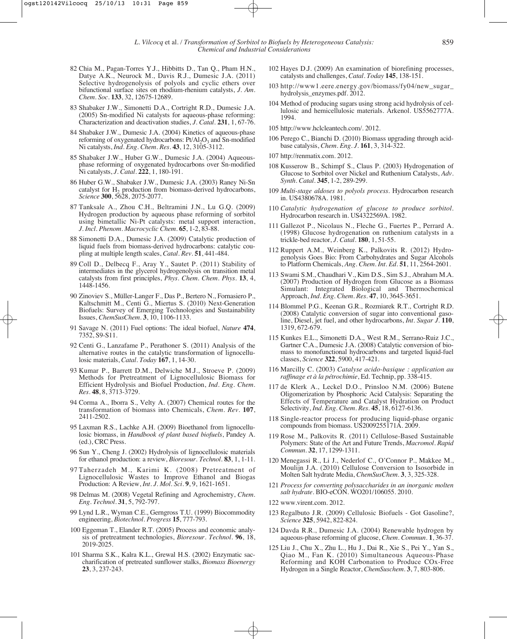- 82 Chia M., Pagan-Torres Y.J., Hibbitts D., Tan Q., Pham H.N., Datye A.K., Neurock M., Davis R.J., Dumesic J.A. (2011) Selective hydrogenolysis of polyols and cyclic ethers over bifunctional surface sites on rhodium-rhenium catalysts, *J. Am. Chem. Soc.* **133**, 32, 12675-12689.
- 83 Shabaker J.W., Simonetti D.A., Cortright R.D., Dumesic J.A. (2005) Sn-modified Ni catalysts for aqueous-phase reforming: Characterization and deactivation studies, *J. Catal.* **231**, 1, 67-76.
- 84 Shabaker J.W., Dumesic J.A. (2004) Kinetics of aqueous-phase reforming of oxygenated hydrocarbons:  $Pt/Al<sub>2</sub>O<sub>3</sub>$  and Sn-modified Ni catalysts, *Ind. Eng. Chem. Res.* **43**, 12, 3105-3112.
- 85 Shabaker J.W., Huber G.W., Dumesic J.A. (2004) Aqueousphase reforming of oxygenated hydrocarbons over Sn-modified Ni catalysts, *J. Catal.* **222**, 1, 180-191.
- 86 Huber G.W., Shabaker J.W., Dumesic J.A. (2003) Raney Ni-Sn catalyst for  $H<sub>2</sub>$  production from biomass-derived hydrocarbons, *Science* **300**, 5628, 2075-2077.
- 87 Tanksale A., Zhou C.H., Beltramini J.N., Lu G.Q. (2009) Hydrogen production by aqueous phase reforming of sorbitol using bimetallic Ni-Pt catalysts: metal support interaction, *J. Incl. Phenom. Macrocyclic Chem.* **65**, 1-2, 83-88.
- 88 Simonetti D.A., Dumesic J.A. (2009) Catalytic production of liquid fuels from biomass-derived hydrocarbons: catalytic coupling at multiple length scales, *Catal. Rev.* **51**, 441-484.
- 89 Coll D., Delbecq F., Aray Y., Sautet P. (2011) Stability of intermediates in the glycerol hydrogenolysis on transition metal catalysts from first principles, *Phys. Chem. Chem. Phys.* **13**, 4, 1448-1456.
- 90 Zinoviev S., Müller-Langer F., Das P., Bertero N., Fornasiero P., Kaltschmitt M., Centi G., Miertus S. (2010) Next-Generation Biofuels: Survey of Emerging Technologies and Sustainability Issues, *ChemSusChem.* **3**, 10, 1106-1133.
- 91 Savage N. (2011) Fuel options: The ideal biofuel, *Nature* **474**, 7352, S9-S11.
- 92 Centi G., Lanzafame P., Perathoner S. (2011) Analysis of the alternative routes in the catalytic transformation of lignocellulosic materials, *Catal. Today* **167**, 1, 14-30.
- 93 Kumar P., Barrett D.M., Delwiche M.J., Stroeve P. (2009) Methods for Pretreatment of Lignocellulosic Biomass for Efficient Hydrolysis and Biofuel Production, *Ind. Eng. Chem. Res.* **48**, 8, 3713-3729.
- 94 Corma A., Iborra S., Velty A. (2007) Chemical routes for the transformation of biomass into Chemicals, *Chem. Rev.* **107**, 2411-2502.
- 95 Laxman R.S., Lachke A.H. (2009) Bioethanol from lignocellulosic biomass, in *Handbook of plant based biofuels*, Pandey A. (ed.), CRC Press.
- 96 Sun Y., Cheng J. (2002) Hydrolysis of lignocellulosic materials for ethanol production: a review, *Bioresour. Technol.* **83**, 1, 1-11.
- 97 Taherzadeh M., Karimi K. (2008) Pretreatment of Lignocellulosic Wastes to Improve Ethanol and Biogas Production: A Review, *Int. J. Mol. Sci.* **9**, 9, 1621-1651.
- 98 Delmas M. (2008) Vegetal Refining and Agrochemistry, *Chem. Eng. Technol.* **31**, 5, 792-797.
- 99 Lynd L.R., Wyman C.E., Gerngross T.U. (1999) Biocommodity engineering, *Biotechnol. Progress* **15**, 777-793.
- 100 Eggeman T., Elander R.T. (2005) Process and economic analysis of pretreatment technologies, *Bioresour. Technol.* **96**, 18, 2019-2025.
- 101 Sharma S.K., Kalra K.L., Grewal H.S. (2002) Enzymatic saccharification of pretreated sunflower stalks, *Biomass Bioenergy* **23**, 3, 237-243.
- 102 Hayes D.J. (2009) An examination of biorefining processes, catalysts and challenges, *Catal. Today* **145**, 138-151.
- 103 http://www1.eere.energy.gov/biomass/fy04/new\_sugar\_ hydrolysis\_enzymes.pdf. 2012.
- 104 Method of producing sugars using strong acid hydrolysis of cellulosic and hemicellulosic materials. Arkenol. US5562777A. 1994.
- 105 http://www.hclcleantech.com/. 2012.
- 106 Perego C., Bianchi D. (2010) Biomass upgrading through acidbase catalysis, *Chem. Eng. J.* **161**, 3, 314-322.
- 107 http://renmatix.com. 2012.
- 108 Kusserow B., Schimpf S., Claus P. (2003) Hydrogenation of Glucose to Sorbitol over Nickel and Ruthenium Catalysts, *Adv. Synth. Catal.* **345**, 1-2, 289-299.
- 109 *Multi-stage aldoses to polyols process*. Hydrocarbon research in. US4380678A. 1981.
- 110 *Catalytic hydrogenation of glucose to produce sorbitol*. Hydrocarbon research in. US4322569A. 1982.
- 111 Gallezot P., Nicolaus N., Fleche G., Fuertes P., Perrard A. (1998) Glucose hydrogenation on ruthenium catalysts in a trickle-bed reactor, *J. Catal.* **180**, 1, 51-55.
- 112 Ruppert A.M., Weinberg K., Palkovits R. (2012) Hydrogenolysis Goes Bio: From Carbohydrates and Sugar Alcohols to Platform Chemicals, *Ang. Chem. Int. Ed.* **51**, 11, 2564-2601.
- 113 Swami S.M., Chaudhari V., Kim D.S., Sim S.J., Abraham M.A. (2007) Production of Hydrogen from Glucose as a Biomass Simulant: Integrated Biological and Thermochemical Approach, *Ind. Eng. Chem. Res.* **47**, 10, 3645-3651.
- 114 Blommel P.G., Keenan G.R., Rozmiarek R.T., Cortright R.D. (2008) Catalytic conversion of sugar into conventional gasoline, Diesel, jet fuel, and other hydrocarbons, *Int. Sugar J.* **110**, 1319, 672-679.
- 115 Kunkes E.L., Simonetti D.A., West R.M., Serrano-Ruiz J.C., Gartner C.A., Dumesic J.A. (2008) Catalytic conversion of biomass to monofunctional hydrocarbons and targeted liquid-fuel classes, *Science* **322**, 5900, 417-421.
- 116 Marcilly C. (2003) *Catalyse acido-basique : application au raffinage et à la pétrochimie*, Ed. Technip, pp. 338-415.
- 117 de Klerk A., Leckel D.O., Prinsloo N.M. (2006) Butene Oligomerization by Phosphoric Acid Catalysis: Separating the Effects of Temperature and Catalyst Hydration on Product Selectivity, *Ind. Eng. Chem. Res.* **45**, 18, 6127-6136.
- 118 Single-reactor process for producing liquid-phase organic compounds from biomass. US2009255171A. 2009.
- 119 Rose M., Palkovits R. (2011) Cellulose-Based Sustainable Polymers: State of the Art and Future Trends, *Macromol. Rapid Commun.* **32**, 17, 1299-1311.
- 120 Menegassi R., Li J., Nederlof C., O'Connor P., Makkee M., Moulijn J.A. (2010) Cellulose Conversion to Isosorbide in Molten Salt hydrate Media, *ChemSusChem.* **3**, 3, 325-328.
- 121 *Process for converting polysaccharides in an inorganic molten salt hydrate*. BIO-eCON. WO201/106055. 2010.
- 122 www.virent.com. 2012.
- 123 Regalbuto J.R. (2009) Cellulosic Biofuels Got Gasoline?, *Science* **325**, 5942, 822-824.
- 124 Davda R.R., Dumesic J.A. (2004) Renewable hydrogen by aqueous-phase reforming of glucose, *Chem. Commun.* **1**, 36-37.
- 125 Liu J., Chu X., Zhu L., Hu J., Dai R., Xie S., Pei Y., Yan S., Qiao M., Fan K. (2010) Simultaneous Aqueous-Phase Reforming and KOH Carbonation to Produce COx-Free Hydrogen in a Single Reactor, *ChemSuschem.* **3**, 7, 803-806.